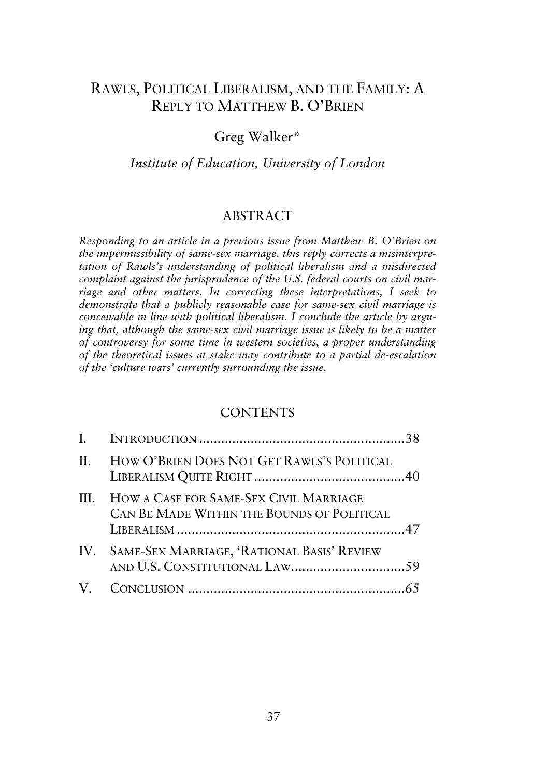# RAWLS, POLITICAL LIBERALISM, AND THE FAMILY: A REPLY TO MATTHEW B. O'BRIEN

# Greg Walker\*

## *Institute of Education, University of London*

### ABSTRACT

*Responding to an article in a previous issue from Matthew B. O'Brien on the impermissibility of same-sex marriage, this reply corrects a misinterpretation of Rawls's understanding of political liberalism and a misdirected complaint against the jurisprudence of the U.S. federal courts on civil marriage and other matters. In correcting these interpretations, I seek to demonstrate that a publicly reasonable case for same-sex civil marriage is conceivable in line with political liberalism. I conclude the article by arguing that, although the same-sex civil marriage issue is likely to be a matter of controversy for some time in western societies, a proper understanding of the theoretical issues at stake may contribute to a partial de-escalation of the 'culture wars' currently surrounding the issue.* 

### **CONTENTS**

| $\Pi$ . | HOW O'BRIEN DOES NOT GET RAWLS'S POLITICAL                                                |  |
|---------|-------------------------------------------------------------------------------------------|--|
|         | III. HOW A CASE FOR SAME-SEX CIVIL MARRIAGE<br>CAN BE MADE WITHIN THE BOUNDS OF POLITICAL |  |
|         | IV. SAME-SEX MARRIAGE, 'RATIONAL BASIS' REVIEW                                            |  |
|         |                                                                                           |  |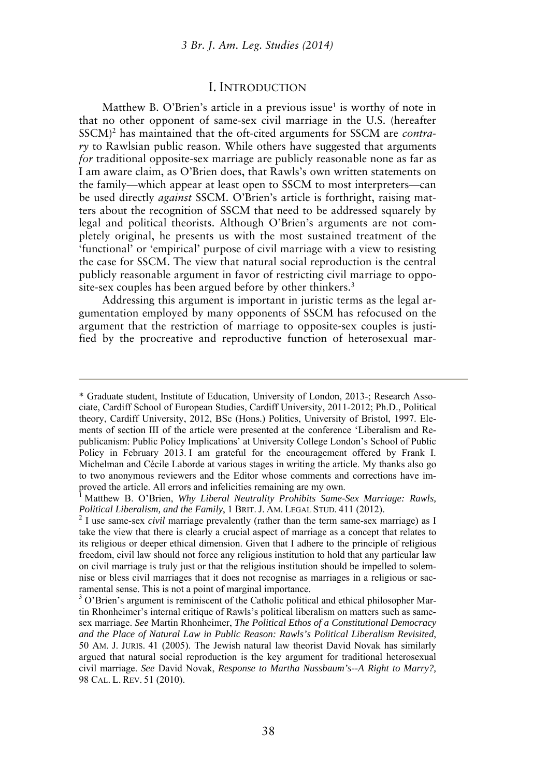#### I. INTRODUCTION

Matthew B. O'Brien's article in a previous issue<sup>1</sup> is worthy of note in that no other opponent of same-sex civil marriage in the U.S. (hereafter SSCM)<sup>2</sup> has maintained that the oft-cited arguments for SSCM are *contrary* to Rawlsian public reason. While others have suggested that arguments *for* traditional opposite-sex marriage are publicly reasonable none as far as I am aware claim, as O'Brien does, that Rawls's own written statements on the family—which appear at least open to SSCM to most interpreters—can be used directly *against* SSCM. O'Brien's article is forthright, raising matters about the recognition of SSCM that need to be addressed squarely by legal and political theorists. Although O'Brien's arguments are not completely original, he presents us with the most sustained treatment of the 'functional' or 'empirical' purpose of civil marriage with a view to resisting the case for SSCM. The view that natural social reproduction is the central publicly reasonable argument in favor of restricting civil marriage to opposite-sex couples has been argued before by other thinkers.<sup>3</sup>

Addressing this argument is important in juristic terms as the legal argumentation employed by many opponents of SSCM has refocused on the argument that the restriction of marriage to opposite-sex couples is justified by the procreative and reproductive function of heterosexual mar-

<sup>\*</sup> Graduate student, Institute of Education, University of London, 2013-; Research Associate, Cardiff School of European Studies, Cardiff University, 2011-2012; Ph.D., Political theory, Cardiff University, 2012, BSc (Hons.) Politics, University of Bristol, 1997. Elements of section III of the article were presented at the conference 'Liberalism and Republicanism: Public Policy Implications' at University College London's School of Public Policy in February 2013. I am grateful for the encouragement offered by Frank I. Michelman and Cécile Laborde at various stages in writing the article. My thanks also go to two anonymous reviewers and the Editor whose comments and corrections have improved the article. All errors and infelicities remaining are my own.<br><sup>1</sup> Matthew B. O'Brian, *Why Liberal Nautralin, Probibits Same*.

Matthew B. O'Brien, *Why Liberal Neutrality Prohibits Same-Sex Marriage: Rawls, Political Liberalism, and the Family*, 1 BRIT. J. AM. LEGAL STUD. 411 (2012).

<sup>&</sup>lt;sup>2</sup> I use same-sex *civil* marriage prevalently (rather than the term same-sex marriage) as I take the view that there is clearly a crucial aspect of marriage as a concept that relates to its religious or deeper ethical dimension. Given that I adhere to the principle of religious freedom, civil law should not force any religious institution to hold that any particular law on civil marriage is truly just or that the religious institution should be impelled to solemnise or bless civil marriages that it does not recognise as marriages in a religious or sacramental sense. This is not a point of marginal importance.

<sup>&</sup>lt;sup>3</sup> O'Brien's argument is reminiscent of the Catholic political and ethical philosopher Martin Rhonheimer's internal critique of Rawls's political liberalism on matters such as samesex marriage. *See* Martin Rhonheimer, *The Political Ethos of a Constitutional Democracy and the Place of Natural Law in Public Reason: Rawls's Political Liberalism Revisited*, 50 AM. J. JURIS. 41 (2005). The Jewish natural law theorist David Novak has similarly argued that natural social reproduction is the key argument for traditional heterosexual civil marriage. *See* David Novak, *Response to Martha Nussbaum's--A Right to Marry?,* 98 CAL. L. REV. 51 (2010).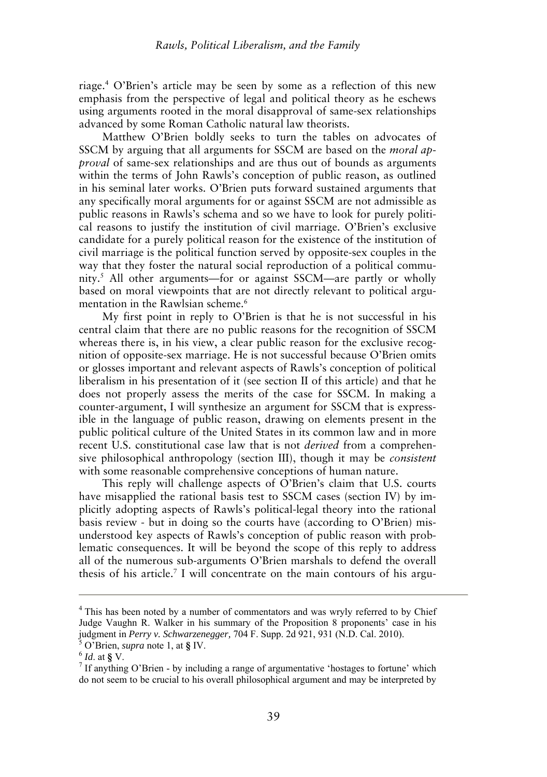riage.<sup>4</sup> O'Brien's article may be seen by some as a reflection of this new emphasis from the perspective of legal and political theory as he eschews using arguments rooted in the moral disapproval of same-sex relationships advanced by some Roman Catholic natural law theorists.

Matthew O'Brien boldly seeks to turn the tables on advocates of SSCM by arguing that all arguments for SSCM are based on the *moral approval* of same-sex relationships and are thus out of bounds as arguments within the terms of John Rawls's conception of public reason, as outlined in his seminal later works. O'Brien puts forward sustained arguments that any specifically moral arguments for or against SSCM are not admissible as public reasons in Rawls's schema and so we have to look for purely political reasons to justify the institution of civil marriage. O'Brien's exclusive candidate for a purely political reason for the existence of the institution of civil marriage is the political function served by opposite-sex couples in the way that they foster the natural social reproduction of a political community.<sup>5</sup> All other arguments—for or against SSCM—are partly or wholly based on moral viewpoints that are not directly relevant to political argumentation in the Rawlsian scheme.<sup>6</sup>

My first point in reply to O'Brien is that he is not successful in his central claim that there are no public reasons for the recognition of SSCM whereas there is, in his view, a clear public reason for the exclusive recognition of opposite-sex marriage. He is not successful because O'Brien omits or glosses important and relevant aspects of Rawls's conception of political liberalism in his presentation of it (see section II of this article) and that he does not properly assess the merits of the case for SSCM. In making a counter-argument, I will synthesize an argument for SSCM that is expressible in the language of public reason, drawing on elements present in the public political culture of the United States in its common law and in more recent U.S. constitutional case law that is not *derived* from a comprehensive philosophical anthropology (section III), though it may be *consistent* with some reasonable comprehensive conceptions of human nature.

This reply will challenge aspects of O'Brien's claim that U.S. courts have misapplied the rational basis test to SSCM cases (section IV) by implicitly adopting aspects of Rawls's political-legal theory into the rational basis review - but in doing so the courts have (according to O'Brien) misunderstood key aspects of Rawls's conception of public reason with problematic consequences. It will be beyond the scope of this reply to address all of the numerous sub-arguments O'Brien marshals to defend the overall thesis of his article.<sup>7</sup> I will concentrate on the main contours of his argu-

<sup>&</sup>lt;sup>4</sup> This has been noted by a number of commentators and was wryly referred to by Chief Judge Vaughn R. Walker in his summary of the Proposition 8 proponents' case in his judgment in *Perry v. Schwarzenegger,* 704 F. Supp. 2d 921, 931 (N.D. Cal. 2010).

<sup>5</sup> O'Brien, *supra* note 1, at **§** IV.

<sup>6</sup> *Id*. at **§** V.

 $7$  If anything O'Brien - by including a range of argumentative 'hostages to fortune' which do not seem to be crucial to his overall philosophical argument and may be interpreted by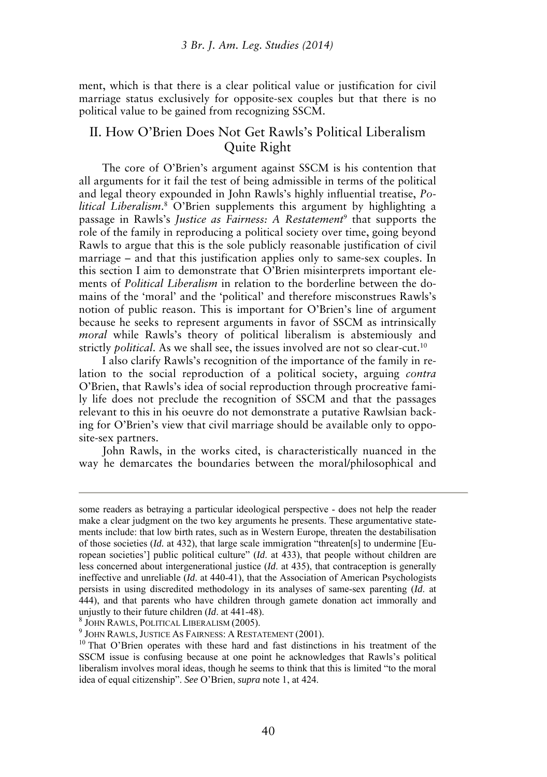ment, which is that there is a clear political value or justification for civil marriage status exclusively for opposite-sex couples but that there is no political value to be gained from recognizing SSCM.

### II. How O'Brien Does Not Get Rawls's Political Liberalism Quite Right

The core of O'Brien's argument against SSCM is his contention that all arguments for it fail the test of being admissible in terms of the political and legal theory expounded in John Rawls's highly influential treatise, *Political Liberalism*. 8 O'Brien supplements this argument by highlighting a passage in Rawls's *Justice as Fairness: A Restatement*<sup>9</sup> that supports the role of the family in reproducing a political society over time, going beyond Rawls to argue that this is the sole publicly reasonable justification of civil marriage – and that this justification applies only to same-sex couples. In this section I aim to demonstrate that O'Brien misinterprets important elements of *Political Liberalism* in relation to the borderline between the domains of the 'moral' and the 'political' and therefore misconstrues Rawls's notion of public reason. This is important for O'Brien's line of argument because he seeks to represent arguments in favor of SSCM as intrinsically *moral* while Rawls's theory of political liberalism is abstemiously and strictly *political*. As we shall see, the issues involved are not so clear-cut.<sup>10</sup>

I also clarify Rawls's recognition of the importance of the family in relation to the social reproduction of a political society, arguing *contra* O'Brien, that Rawls's idea of social reproduction through procreative family life does not preclude the recognition of SSCM and that the passages relevant to this in his oeuvre do not demonstrate a putative Rawlsian backing for O'Brien's view that civil marriage should be available only to opposite-sex partners.

John Rawls, in the works cited, is characteristically nuanced in the way he demarcates the boundaries between the moral/philosophical and

8 JOHN RAWLS, POLITICAL LIBERALISM (2005).

some readers as betraying a particular ideological perspective - does not help the reader make a clear judgment on the two key arguments he presents. These argumentative statements include: that low birth rates, such as in Western Europe, threaten the destabilisation of those societies (*Id.* at 432), that large scale immigration "threaten[s] to undermine [European societies'] public political culture" (*Id*. at 433), that people without children are less concerned about intergenerational justice (*Id*. at 435), that contraception is generally ineffective and unreliable (*Id*. at 440-41), that the Association of American Psychologists persists in using discredited methodology in its analyses of same-sex parenting (*Id*. at 444), and that parents who have children through gamete donation act immorally and unjustly to their future children (*Id*. at 441-48).

<sup>9</sup> JOHN RAWLS, JUSTICE AS FAIRNESS: A RESTATEMENT (2001).

<sup>&</sup>lt;sup>10</sup> That O'Brien operates with these hard and fast distinctions in his treatment of the SSCM issue is confusing because at one point he acknowledges that Rawls's political liberalism involves moral ideas, though he seems to think that this is limited "to the moral idea of equal citizenship". *See* O'Brien, *supra* note 1, at 424.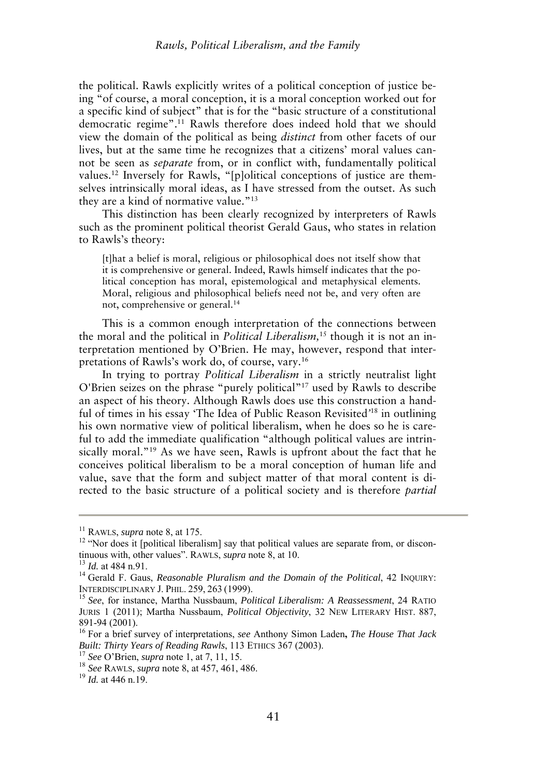the political. Rawls explicitly writes of a political conception of justice being "of course, a moral conception, it is a moral conception worked out for a specific kind of subject" that is for the "basic structure of a constitutional democratic regime".<sup>11</sup> Rawls therefore does indeed hold that we should view the domain of the political as being *distinct* from other facets of our lives, but at the same time he recognizes that a citizens' moral values cannot be seen as *separate* from, or in conflict with, fundamentally political values.<sup>12</sup> Inversely for Rawls, "[p]olitical conceptions of justice are themselves intrinsically moral ideas, as I have stressed from the outset. As such they are a kind of normative value."<sup>13</sup>

This distinction has been clearly recognized by interpreters of Rawls such as the prominent political theorist Gerald Gaus, who states in relation to Rawls's theory:

[t]hat a belief is moral, religious or philosophical does not itself show that it is comprehensive or general. Indeed, Rawls himself indicates that the political conception has moral, epistemological and metaphysical elements. Moral, religious and philosophical beliefs need not be, and very often are not, comprehensive or general.<sup>14</sup>

This is a common enough interpretation of the connections between the moral and the political in *Political Liberalism,*<sup>15</sup> though it is not an interpretation mentioned by O'Brien. He may, however, respond that interpretations of Rawls's work do, of course, vary.<sup>16</sup>

In trying to portray *Political Liberalism* in a strictly neutralist light O'Brien seizes on the phrase "purely political"<sup>17</sup> used by Rawls to describe an aspect of his theory. Although Rawls does use this construction a handful of times in his essay 'The Idea of Public Reason Revisited*'* <sup>18</sup> in outlining his own normative view of political liberalism, when he does so he is careful to add the immediate qualification "although political values are intrinsically moral."<sup>19</sup> As we have seen, Rawls is upfront about the fact that he conceives political liberalism to be a moral conception of human life and value, save that the form and subject matter of that moral content is directed to the basic structure of a political society and is therefore *partial*

<sup>11</sup> RAWLS, *supra* note 8, at 175.

<sup>&</sup>lt;sup>12</sup> "Nor does it [political liberalism] say that political values are separate from, or discontinuous with, other values". RAWLS, *supra* note 8, at 10.

<sup>13</sup> *Id.* at 484 n.91.

<sup>&</sup>lt;sup>14</sup> Gerald F. Gaus, *Reasonable Pluralism and the Domain of the Political*, 42 INQUIRY: INTERDISCIPLINARY J. PHIL. 259, 263 (1999).

<sup>15</sup> *See*, for instance, Martha Nussbaum, *Political Liberalism: A Reassessment*, 24 RATIO JURIS 1 (2011); Martha Nussbaum, *Political Objectivity*, 32 NEW LITERARY HIST. 887, 891-94 (2001).

<sup>16</sup> For a brief survey of interpretations, *see* Anthony Simon Laden**,** *The House That Jack Built: Thirty Years of Reading Rawls*, 113 ETHICS 367 (2003).

<sup>17</sup> *See* O'Brien, *supra* note 1, at 7, 11, 15.

<sup>18</sup> *See* RAWLS, *supra* note 8, at 457, 461, 486.

<sup>19</sup> *Id.* at 446 n.19.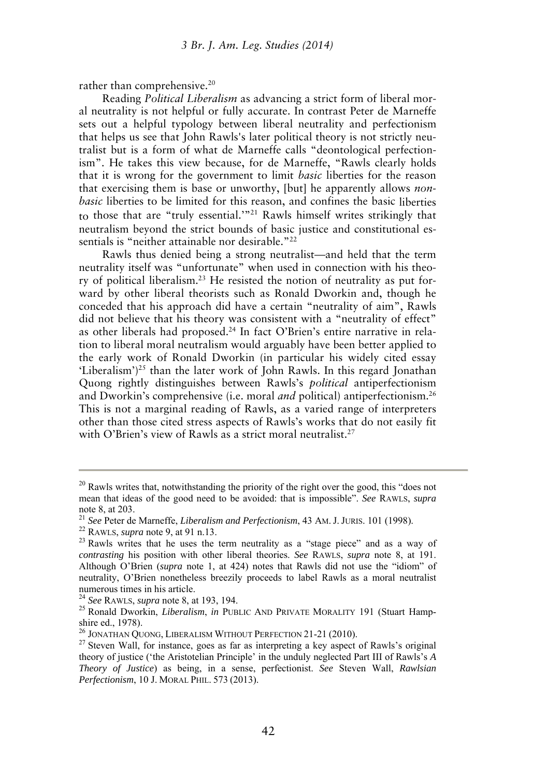rather than comprehensive.<sup>20</sup>

Reading *Political Liberalism* as advancing a strict form of liberal moral neutrality is not helpful or fully accurate. In contrast Peter de Marneffe sets out a helpful typology between liberal neutrality and perfectionism that helps us see that John Rawls's later political theory is not strictly neutralist but is a form of what de Marneffe calls "deontological perfectionism". He takes this view because, for de Marneffe, "Rawls clearly holds that it is wrong for the government to limit *basic* liberties for the reason that exercising them is base or unworthy, [but] he apparently allows *nonbasic* liberties to be limited for this reason, and confines the basic liberties to those that are "truly essential.'"<sup>21</sup> Rawls himself writes strikingly that neutralism beyond the strict bounds of basic justice and constitutional essentials is "neither attainable nor desirable."<sup>22</sup>

Rawls thus denied being a strong neutralist—and held that the term neutrality itself was "unfortunate" when used in connection with his theory of political liberalism.23 He resisted the notion of neutrality as put forward by other liberal theorists such as Ronald Dworkin and, though he conceded that his approach did have a certain "neutrality of aim", Rawls did not believe that his theory was consistent with a "neutrality of effect" as other liberals had proposed.24 In fact O'Brien's entire narrative in relation to liberal moral neutralism would arguably have been better applied to the early work of Ronald Dworkin (in particular his widely cited essay 'Liberalism')<sup>25</sup> than the later work of John Rawls. In this regard Jonathan Quong rightly distinguishes between Rawls's *political* antiperfectionism and Dworkin's comprehensive (i.e. moral *and* political) antiperfectionism.<sup>26</sup> This is not a marginal reading of Rawls, as a varied range of interpreters other than those cited stress aspects of Rawls's works that do not easily fit with O'Brien's view of Rawls as a strict moral neutralist.<sup>27</sup>

<sup>24</sup> *See* RAWLS, *supra* note 8, at 193, 194.

 $20$  Rawls writes that, notwithstanding the priority of the right over the good, this "does not mean that ideas of the good need to be avoided: that is impossible". *See* RAWLS, *supra* note 8, at 203.

<sup>21</sup> *See* Peter de Marneffe, *Liberalism and Perfectionism*, 43 AM. J. JURIS. 101 (1998).

<sup>22</sup> RAWLS, *supra* note 9, at 91 n.13.

<sup>&</sup>lt;sup>23</sup> Rawls writes that he uses the term neutrality as a "stage piece" and as a way of *contrasting* his position with other liberal theories. *See* RAWLS, *supra* note 8, at 191. Although O'Brien (*supra* note 1, at 424) notes that Rawls did not use the "idiom" of neutrality, O'Brien nonetheless breezily proceeds to label Rawls as a moral neutralist numerous times in his article.

<sup>25</sup> Ronald Dworkin, *Liberalism*, *in* PUBLIC AND PRIVATE MORALITY 191 (Stuart Hampshire ed., 1978).

<sup>&</sup>lt;sup>26</sup> JONATHAN QUONG, LIBERALISM WITHOUT PERFECTION 21-21 (2010).

 $27$  Steven Wall, for instance, goes as far as interpreting a key aspect of Rawls's original theory of justice ('the Aristotelian Principle' in the unduly neglected Part III of Rawls's *A Theory of Justice*) as being, in a sense, perfectionist. *See* Steven Wall, *Rawlsian Perfectionism*, 10 J. MORAL PHIL. 573 (2013).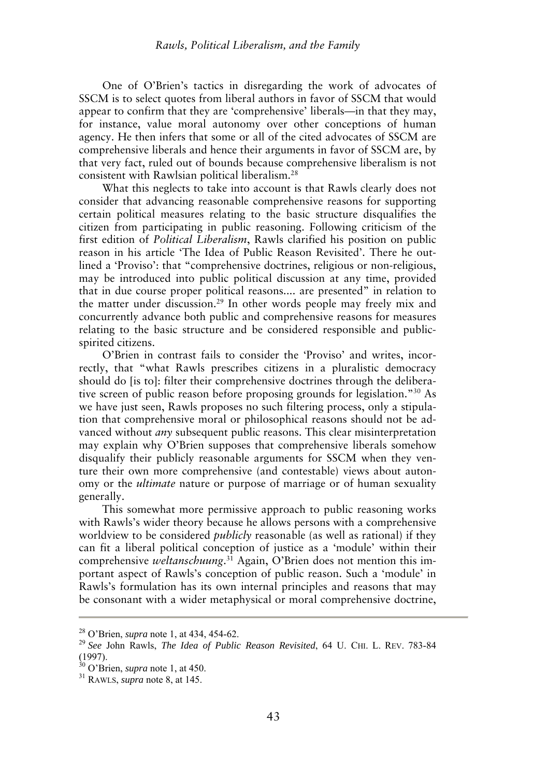One of O'Brien's tactics in disregarding the work of advocates of SSCM is to select quotes from liberal authors in favor of SSCM that would appear to confirm that they are 'comprehensive' liberals—in that they may, for instance, value moral autonomy over other conceptions of human agency. He then infers that some or all of the cited advocates of SSCM are comprehensive liberals and hence their arguments in favor of SSCM are, by that very fact, ruled out of bounds because comprehensive liberalism is not consistent with Rawlsian political liberalism.<sup>28</sup>

What this neglects to take into account is that Rawls clearly does not consider that advancing reasonable comprehensive reasons for supporting certain political measures relating to the basic structure disqualifies the citizen from participating in public reasoning. Following criticism of the first edition of *Political Liberalism*, Rawls clarified his position on public reason in his article 'The Idea of Public Reason Revisited'. There he outlined a 'Proviso': that "comprehensive doctrines, religious or non-religious, may be introduced into public political discussion at any time, provided that in due course proper political reasons.... are presented" in relation to the matter under discussion.<sup>29</sup> In other words people may freely mix and concurrently advance both public and comprehensive reasons for measures relating to the basic structure and be considered responsible and publicspirited citizens.

O'Brien in contrast fails to consider the 'Proviso' and writes, incorrectly, that "what Rawls prescribes citizens in a pluralistic democracy should do [is to]: filter their comprehensive doctrines through the deliberative screen of public reason before proposing grounds for legislation."<sup>30</sup> As we have just seen, Rawls proposes no such filtering process, only a stipulation that comprehensive moral or philosophical reasons should not be advanced without *any* subsequent public reasons. This clear misinterpretation may explain why O'Brien supposes that comprehensive liberals somehow disqualify their publicly reasonable arguments for SSCM when they venture their own more comprehensive (and contestable) views about autonomy or the *ultimate* nature or purpose of marriage or of human sexuality generally.

This somewhat more permissive approach to public reasoning works with Rawls's wider theory because he allows persons with a comprehensive worldview to be considered *publicly* reasonable (as well as rational) if they can fit a liberal political conception of justice as a 'module' within their comprehensive *weltanschuung*. 31 Again, O'Brien does not mention this important aspect of Rawls's conception of public reason. Such a 'module' in Rawls's formulation has its own internal principles and reasons that may be consonant with a wider metaphysical or moral comprehensive doctrine,

<sup>28</sup> O'Brien, *supra* note 1, at 434, 454-62.

<sup>29</sup> *See* John Rawls, *The Idea of Public Reason Revisited*, 64 U. CHI. L. REV. 783-84 (1997).

<sup>30</sup> O'Brien, *supra* note 1, at 450.

<sup>31</sup> RAWLS, *supra* note 8, at 145.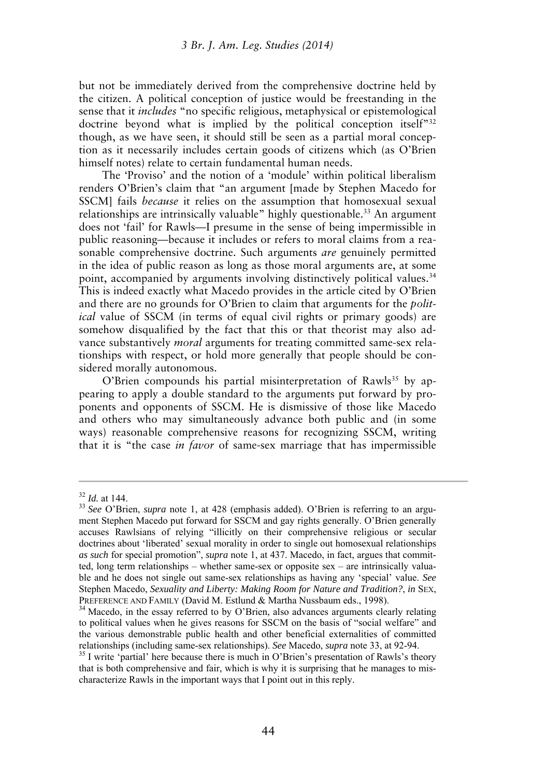but not be immediately derived from the comprehensive doctrine held by the citizen. A political conception of justice would be freestanding in the sense that it *includes* "no specific religious, metaphysical or epistemological doctrine beyond what is implied by the political conception itself<sup>"32</sup> though, as we have seen, it should still be seen as a partial moral conception as it necessarily includes certain goods of citizens which (as O'Brien himself notes) relate to certain fundamental human needs.

The 'Proviso' and the notion of a 'module' within political liberalism renders O'Brien's claim that "an argument [made by Stephen Macedo for SSCM] fails *because* it relies on the assumption that homosexual sexual relationships are intrinsically valuable" highly questionable.<sup>33</sup> An argument does not 'fail' for Rawls—I presume in the sense of being impermissible in public reasoning—because it includes or refers to moral claims from a reasonable comprehensive doctrine. Such arguments *are* genuinely permitted in the idea of public reason as long as those moral arguments are, at some point, accompanied by arguments involving distinctively political values.<sup>34</sup> This is indeed exactly what Macedo provides in the article cited by O'Brien and there are no grounds for O'Brien to claim that arguments for the *political* value of SSCM (in terms of equal civil rights or primary goods) are somehow disqualified by the fact that this or that theorist may also advance substantively *moral* arguments for treating committed same-sex relationships with respect, or hold more generally that people should be considered morally autonomous.

O'Brien compounds his partial misinterpretation of Rawls<sup>35</sup> by appearing to apply a double standard to the arguments put forward by proponents and opponents of SSCM. He is dismissive of those like Macedo and others who may simultaneously advance both public and (in some ways) reasonable comprehensive reasons for recognizing SSCM, writing that it is "the case *in favor* of same-sex marriage that has impermissible

<sup>32</sup> *Id.* at 144.

<sup>33</sup> *See* O'Brien, *supra* note 1, at 428 (emphasis added). O'Brien is referring to an argument Stephen Macedo put forward for SSCM and gay rights generally. O'Brien generally accuses Rawlsians of relying "illicitly on their comprehensive religious or secular doctrines about 'liberated' sexual morality in order to single out homosexual relationships *as such* for special promotion", *supra* note 1, at 437. Macedo, in fact, argues that committed, long term relationships – whether same-sex or opposite sex – are intrinsically valuable and he does not single out same-sex relationships as having any 'special' value. *See* Stephen Macedo, *Sexuality and Liberty: Making Room for Nature and Tradition?*, *in* SEX, PREFERENCE AND FAMILY (David M. Estlund & Martha Nussbaum eds., 1998).

<sup>&</sup>lt;sup>34</sup> Macedo, in the essay referred to by O'Brien, also advances arguments clearly relating to political values when he gives reasons for SSCM on the basis of "social welfare" and the various demonstrable public health and other beneficial externalities of committed relationships (including same-sex relationships). *See* Macedo, *supra* note 33, at 92-94.

 $35$  I write 'partial' here because there is much in O'Brien's presentation of Rawls's theory that is both comprehensive and fair, which is why it is surprising that he manages to mischaracterize Rawls in the important ways that I point out in this reply.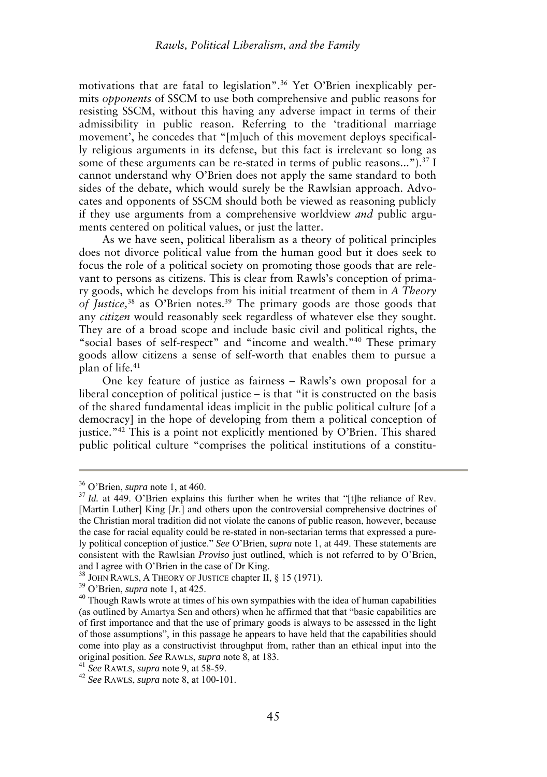motivations that are fatal to legislation".36 Yet O'Brien inexplicably permits *opponents* of SSCM to use both comprehensive and public reasons for resisting SSCM, without this having any adverse impact in terms of their admissibility in public reason. Referring to the 'traditional marriage movement', he concedes that "[m]uch of this movement deploys specifically religious arguments in its defense, but this fact is irrelevant so long as some of these arguments can be re-stated in terms of public reasons..." $\overline{X}$ <sup>37</sup> I cannot understand why O'Brien does not apply the same standard to both sides of the debate, which would surely be the Rawlsian approach. Advocates and opponents of SSCM should both be viewed as reasoning publicly if they use arguments from a comprehensive worldview *and* public arguments centered on political values, or just the latter.

As we have seen, political liberalism as a theory of political principles does not divorce political value from the human good but it does seek to focus the role of a political society on promoting those goods that are relevant to persons as citizens. This is clear from Rawls's conception of primary goods, which he develops from his initial treatment of them in *A Theory of Justice,*<sup>38</sup> as O'Brien notes.<sup>39</sup> The primary goods are those goods that any *citizen* would reasonably seek regardless of whatever else they sought. They are of a broad scope and include basic civil and political rights, the "social bases of self-respect" and "income and wealth."<sup>40</sup> These primary goods allow citizens a sense of self-worth that enables them to pursue a plan of life.<sup>41</sup>

One key feature of justice as fairness – Rawls's own proposal for a liberal conception of political justice – is that "it is constructed on the basis of the shared fundamental ideas implicit in the public political culture [of a democracy] in the hope of developing from them a political conception of justice."<sup>42</sup> This is a point not explicitly mentioned by O'Brien. This shared public political culture "comprises the political institutions of a constitu-

<sup>36</sup> O'Brien, *supra* note 1, at 460.

<sup>&</sup>lt;sup>37</sup> *Id.* at 449. O'Brien explains this further when he writes that "[t]he reliance of Rev. [Martin Luther] King [Jr.] and others upon the controversial comprehensive doctrines of the Christian moral tradition did not violate the canons of public reason, however, because the case for racial equality could be re-stated in non-sectarian terms that expressed a purely political conception of justice." *See* O'Brien, *supra* note 1, at 449. These statements are consistent with the Rawlsian *Proviso* just outlined, which is not referred to by O'Brien, and I agree with O'Brien in the case of Dr King.

<sup>&</sup>lt;sup>38</sup> JOHN RAWLS, A THEORY OF JUSTICE chapter II, § 15 (1971).

<sup>39</sup> O'Brien, *supra* note 1, at 425.

<sup>&</sup>lt;sup>40</sup> Though Rawls wrote at times of his own sympathies with the idea of human capabilities (as outlined by Amartya Sen and others) when he affirmed that that "basic capabilities are of first importance and that the use of primary goods is always to be assessed in the light of those assumptions", in this passage he appears to have held that the capabilities should come into play as a constructivist throughput from, rather than an ethical input into the original position. *See* RAWLS, *supra* note 8, at 183.

<sup>41</sup> *See* RAWLS, *supra* note 9, at 58-59.

<sup>42</sup> *See* RAWLS, *supra* note 8, at 100-101.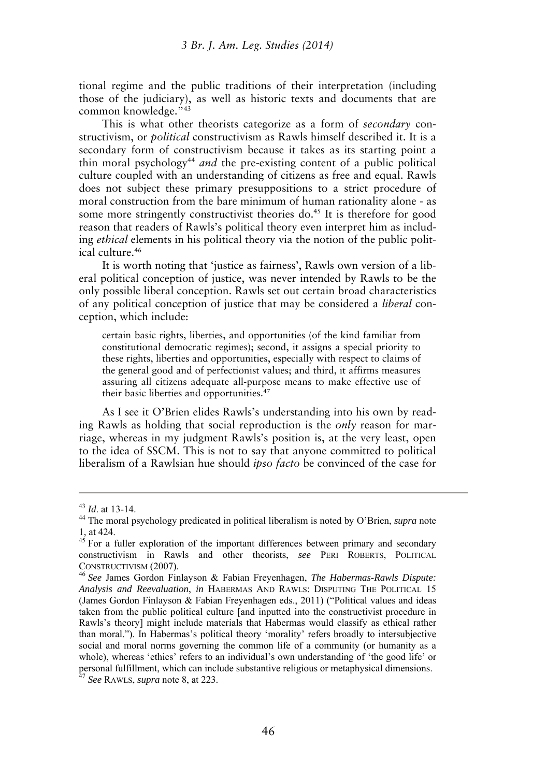tional regime and the public traditions of their interpretation (including those of the judiciary), as well as historic texts and documents that are common knowledge."<sup>43</sup>

This is what other theorists categorize as a form of *secondary* constructivism, or *political* constructivism as Rawls himself described it. It is a secondary form of constructivism because it takes as its starting point a thin moral psychology<sup>44</sup> *and* the pre-existing content of a public political culture coupled with an understanding of citizens as free and equal. Rawls does not subject these primary presuppositions to a strict procedure of moral construction from the bare minimum of human rationality alone - as some more stringently constructivist theories do.<sup>45</sup> It is therefore for good reason that readers of Rawls's political theory even interpret him as including *ethical* elements in his political theory via the notion of the public political culture.<sup>46</sup>

It is worth noting that 'justice as fairness', Rawls own version of a liberal political conception of justice, was never intended by Rawls to be the only possible liberal conception. Rawls set out certain broad characteristics of any political conception of justice that may be considered a *liberal* conception, which include:

certain basic rights, liberties, and opportunities (of the kind familiar from constitutional democratic regimes); second, it assigns a special priority to these rights, liberties and opportunities, especially with respect to claims of the general good and of perfectionist values; and third, it affirms measures assuring all citizens adequate all-purpose means to make effective use of their basic liberties and opportunities.<sup>47</sup>

As I see it O'Brien elides Rawls's understanding into his own by reading Rawls as holding that social reproduction is the *only* reason for marriage, whereas in my judgment Rawls's position is, at the very least, open to the idea of SSCM. This is not to say that anyone committed to political liberalism of a Rawlsian hue should *ipso facto* be convinced of the case for

<sup>43</sup> *Id*. at 13-14.

<sup>44</sup> The moral psychology predicated in political liberalism is noted by O'Brien, *supra* note 1, at 424.

<sup>&</sup>lt;sup>45</sup> For a fuller exploration of the important differences between primary and secondary constructivism in Rawls and other theorists, *see* PERI ROBERTS, POLITICAL CONSTRUCTIVISM (2007).

<sup>46</sup> *See* James Gordon Finlayson & Fabian Freyenhagen, *The Habermas-Rawls Dispute: Analysis and Reevaluation*, *in* HABERMAS AND RAWLS: DISPUTING THE POLITICAL 15 (James Gordon Finlayson & Fabian Freyenhagen eds., 2011) ("Political values and ideas taken from the public political culture [and inputted into the constructivist procedure in Rawls's theory] might include materials that Habermas would classify as ethical rather than moral."). In Habermas's political theory 'morality' refers broadly to intersubjective social and moral norms governing the common life of a community (or humanity as a whole), whereas 'ethics' refers to an individual's own understanding of 'the good life' or personal fulfillment, which can include substantive religious or metaphysical dimensions.

<sup>47</sup> *See* RAWLS, *supra* note 8, at 223.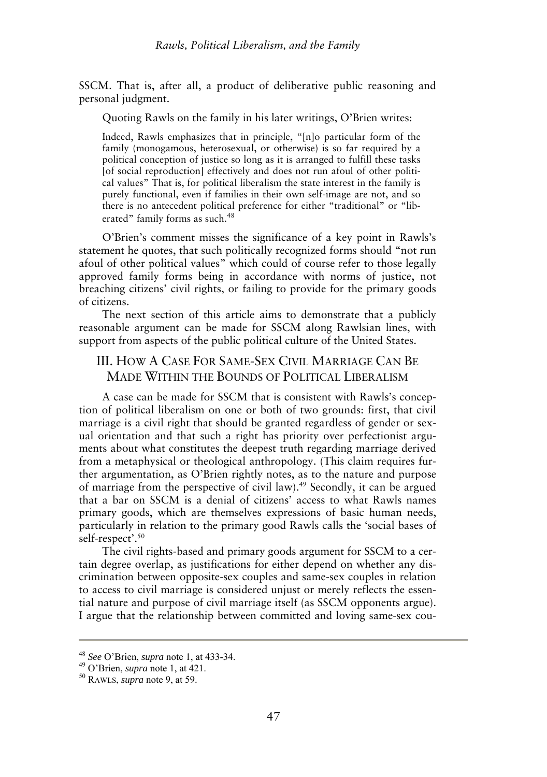SSCM. That is, after all, a product of deliberative public reasoning and personal judgment.

Quoting Rawls on the family in his later writings, O'Brien writes:

Indeed, Rawls emphasizes that in principle, "[n]o particular form of the family (monogamous, heterosexual, or otherwise) is so far required by a political conception of justice so long as it is arranged to fulfill these tasks [of social reproduction] effectively and does not run afoul of other political values" That is, for political liberalism the state interest in the family is purely functional, even if families in their own self-image are not, and so there is no antecedent political preference for either "traditional" or "liberated" family forms as such.<sup>48</sup>

O'Brien's comment misses the significance of a key point in Rawls's statement he quotes, that such politically recognized forms should "not run afoul of other political values" which could of course refer to those legally approved family forms being in accordance with norms of justice, not breaching citizens' civil rights, or failing to provide for the primary goods of citizens.

The next section of this article aims to demonstrate that a publicly reasonable argument can be made for SSCM along Rawlsian lines, with support from aspects of the public political culture of the United States.

### III. HOW A CASE FOR SAME-SEX CIVIL MARRIAGE CAN BE MADE WITHIN THE BOUNDS OF POLITICAL LIBERALISM

A case can be made for SSCM that is consistent with Rawls's conception of political liberalism on one or both of two grounds: first, that civil marriage is a civil right that should be granted regardless of gender or sexual orientation and that such a right has priority over perfectionist arguments about what constitutes the deepest truth regarding marriage derived from a metaphysical or theological anthropology. (This claim requires further argumentation, as O'Brien rightly notes, as to the nature and purpose of marriage from the perspective of civil law).<sup>49</sup> Secondly, it can be argued that a bar on SSCM is a denial of citizens' access to what Rawls names primary goods, which are themselves expressions of basic human needs, particularly in relation to the primary good Rawls calls the 'social bases of self-respect'.<sup>50</sup>

The civil rights-based and primary goods argument for SSCM to a certain degree overlap, as justifications for either depend on whether any discrimination between opposite-sex couples and same-sex couples in relation to access to civil marriage is considered unjust or merely reflects the essential nature and purpose of civil marriage itself (as SSCM opponents argue). I argue that the relationship between committed and loving same-sex cou-

<sup>48</sup> *See* O'Brien, *supra* note 1, at 433-34.

<sup>49</sup> O'Brien, *supra* note 1, at 421.

<sup>50</sup> RAWLS, *supra* note 9, at 59.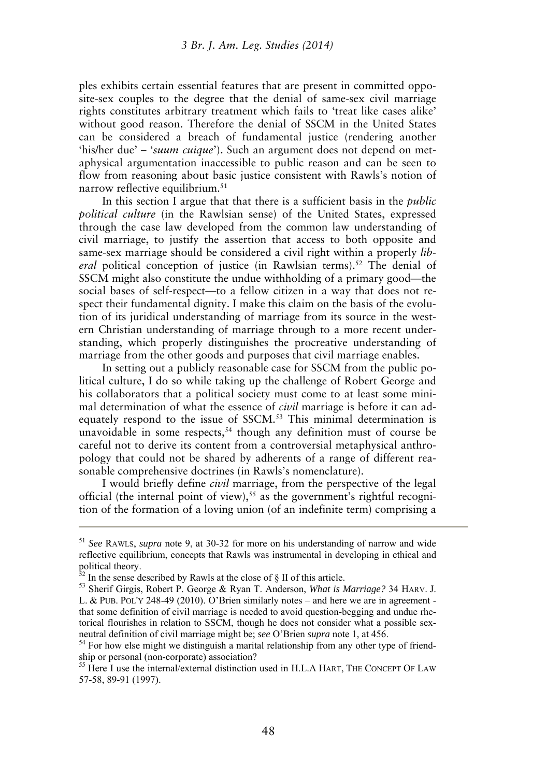ples exhibits certain essential features that are present in committed opposite-sex couples to the degree that the denial of same-sex civil marriage rights constitutes arbitrary treatment which fails to 'treat like cases alike' without good reason. Therefore the denial of SSCM in the United States can be considered a breach of fundamental justice (rendering another 'his/her due' – '*suum cuique*'). Such an argument does not depend on metaphysical argumentation inaccessible to public reason and can be seen to flow from reasoning about basic justice consistent with Rawls's notion of narrow reflective equilibrium.<sup>51</sup>

In this section I argue that that there is a sufficient basis in the *public political culture* (in the Rawlsian sense) of the United States, expressed through the case law developed from the common law understanding of civil marriage, to justify the assertion that access to both opposite and same-sex marriage should be considered a civil right within a properly *lib*eral political conception of justice (in Rawlsian terms).<sup>52</sup> The denial of SSCM might also constitute the undue withholding of a primary good—the social bases of self-respect—to a fellow citizen in a way that does not respect their fundamental dignity. I make this claim on the basis of the evolution of its juridical understanding of marriage from its source in the western Christian understanding of marriage through to a more recent understanding, which properly distinguishes the procreative understanding of marriage from the other goods and purposes that civil marriage enables.

In setting out a publicly reasonable case for SSCM from the public political culture, I do so while taking up the challenge of Robert George and his collaborators that a political society must come to at least some minimal determination of what the essence of *civil* marriage is before it can adequately respond to the issue of SSCM.<sup>53</sup> This minimal determination is unavoidable in some respects, $54$  though any definition must of course be careful not to derive its content from a controversial metaphysical anthropology that could not be shared by adherents of a range of different reasonable comprehensive doctrines (in Rawls's nomenclature).

I would briefly define *civil* marriage, from the perspective of the legal official (the internal point of view),<sup>55</sup> as the government's rightful recognition of the formation of a loving union (of an indefinite term) comprising a

<sup>51</sup> *See* RAWLS, *supra* note 9, at 30-32 for more on his understanding of narrow and wide reflective equilibrium, concepts that Rawls was instrumental in developing in ethical and political theory.

 $52$  In the sense described by Rawls at the close of § II of this article.

<sup>53</sup> Sherif Girgis, Robert P. George & Ryan T. Anderson, *What is Marriage?* 34 HARV. J. L. & PUB. POL'Y 248-49 (2010). O'Brien similarly notes – and here we are in agreement that some definition of civil marriage is needed to avoid question-begging and undue rhetorical flourishes in relation to SSCM, though he does not consider what a possible sexneutral definition of civil marriage might be; *see* O'Brien *supra* note 1, at 456.

<sup>&</sup>lt;sup>54</sup> For how else might we distinguish a marital relationship from any other type of friendship or personal (non-corporate) association?

<sup>&</sup>lt;sup>55</sup> Here I use the internal/external distinction used in H.L.A HART, THE CONCEPT OF LAW 57-58, 89-91 (1997).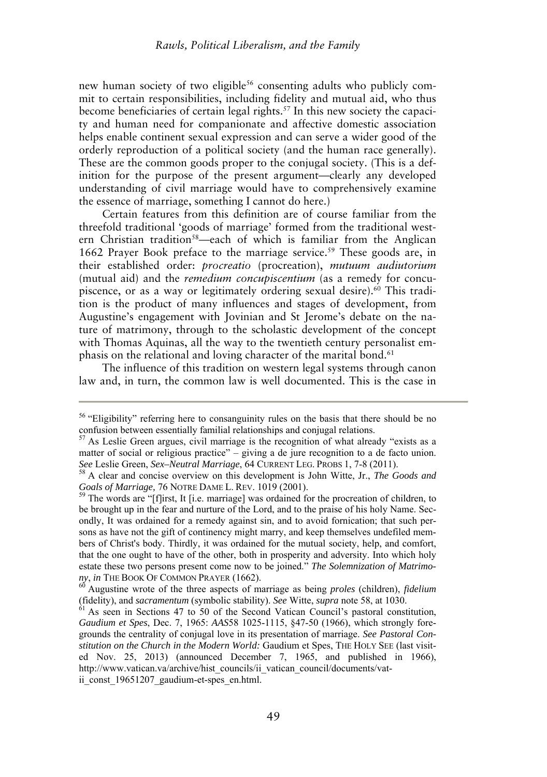new human society of two eligible<sup>56</sup> consenting adults who publicly commit to certain responsibilities, including fidelity and mutual aid, who thus become beneficiaries of certain legal rights.57 In this new society the capacity and human need for companionate and affective domestic association helps enable continent sexual expression and can serve a wider good of the orderly reproduction of a political society (and the human race generally). These are the common goods proper to the conjugal society. (This is a definition for the purpose of the present argument—clearly any developed understanding of civil marriage would have to comprehensively examine the essence of marriage, something I cannot do here.)

Certain features from this definition are of course familiar from the threefold traditional 'goods of marriage' formed from the traditional western Christian tradition<sup>58</sup>—each of which is familiar from the Anglican 1662 Prayer Book preface to the marriage service.<sup>59</sup> These goods are, in their established order: *procreatio* (procreation), *mutuum audiutorium* (mutual aid) and the *remedium concupiscentium* (as a remedy for concupiscence, or as a way or legitimately ordering sexual desire).<sup>60</sup> This tradition is the product of many influences and stages of development, from Augustine's engagement with Jovinian and St Jerome's debate on the nature of matrimony, through to the scholastic development of the concept with Thomas Aquinas, all the way to the twentieth century personalist emphasis on the relational and loving character of the marital bond.<sup>61</sup>

The influence of this tradition on western legal systems through canon law and, in turn, the common law is well documented. This is the case in

<sup>&</sup>lt;sup>56</sup> "Eligibility" referring here to consanguinity rules on the basis that there should be no confusion between essentially familial relationships and conjugal relations.

 $57$  As Leslie Green argues, civil marriage is the recognition of what already "exists as a matter of social or religious practice" – giving a de jure recognition to a de facto union. *See* Leslie Green, *Sex–Neutral Marriage*, 64 CURRENT LEG. PROBS 1, 7-8 (2011).

<sup>58</sup> A clear and concise overview on this development is John Witte, Jr., *The Goods and Goals of Marriage,* 76 NOTRE DAME L. REV. 1019 (2001).

 $59$  The words are "[f]irst, It [i.e. marriage] was ordained for the procreation of children, to be brought up in the fear and nurture of the Lord, and to the praise of his holy Name. Secondly, It was ordained for a remedy against sin, and to avoid fornication; that such persons as have not the gift of continency might marry, and keep themselves undefiled members of Christ's body. Thirdly, it was ordained for the mutual society, help, and comfort, that the one ought to have of the other, both in prosperity and adversity. Into which holy estate these two persons present come now to be joined." *The Solemnization of Matrimony*, *in* THE BOOK OF COMMON PRAYER (1662).

<sup>60</sup> Augustine wrote of the three aspects of marriage as being *proles* (children), *fidelium* (fidelity), and *sacramentum* (symbolic stability). *See* Witte, *supra* note 58, at 1030.

<sup>&</sup>lt;sup>51</sup> As seen in Sections 47 to 50 of the Second Vatican Council's pastoral constitution, *Gaudium et Spes*, Dec. 7, 1965: *AAS*58 1025-1115, §47-50 (1966), which strongly foregrounds the centrality of conjugal love in its presentation of marriage. *See Pastoral Constitution on the Church in the Modern World:* Gaudium et Spes, THE HOLY SEE (last visited Nov. 25, 2013) (announced December 7, 1965, and published in 1966), http://www.vatican.va/archive/hist\_councils/ii\_vatican\_council/documents/vatii const 19651207 gaudium-et-spes en.html.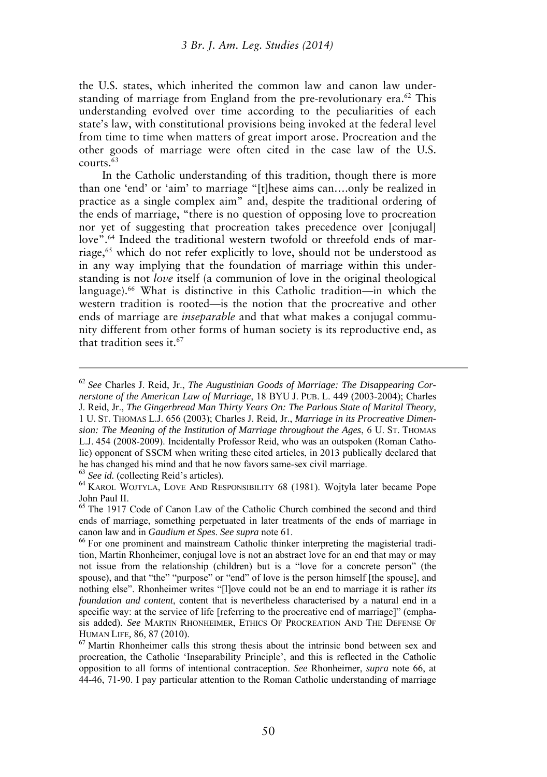the U.S. states, which inherited the common law and canon law understanding of marriage from England from the pre-revolutionary era.<sup>62</sup> This understanding evolved over time according to the peculiarities of each state's law, with constitutional provisions being invoked at the federal level from time to time when matters of great import arose. Procreation and the other goods of marriage were often cited in the case law of the U.S.  $conerts \overline{63}$ 

In the Catholic understanding of this tradition, though there is more than one 'end' or 'aim' to marriage "[t]hese aims can….only be realized in practice as a single complex aim" and, despite the traditional ordering of the ends of marriage, "there is no question of opposing love to procreation nor yet of suggesting that procreation takes precedence over [conjugal] love".<sup>64</sup> Indeed the traditional western twofold or threefold ends of marriage,<sup>65</sup> which do not refer explicitly to love, should not be understood as in any way implying that the foundation of marriage within this understanding is not *love* itself (a communion of love in the original theological language).<sup>66</sup> What is distinctive in this Catholic tradition—in which the western tradition is rooted—is the notion that the procreative and other ends of marriage are *inseparable* and that what makes a conjugal community different from other forms of human society is its reproductive end, as that tradition sees it.<sup>67</sup>

he has changed his mind and that he now favors same-sex civil marriage.

<sup>63</sup> *See id.* (collecting Reid's articles).

<sup>62</sup> *See* Charles J. Reid, Jr., *The Augustinian Goods of Marriage: The Disappearing Cornerstone of the American Law of Marriage*, 18 BYU J. PUB. L. 449 (2003-2004); Charles J. Reid, Jr., *The Gingerbread Man Thirty Years On: The Parlous State of Marital Theory,* 1 U. ST. THOMAS L.J. 656 (2003); Charles J. Reid, Jr., *Marriage in its Procreative Dimension: The Meaning of the Institution of Marriage throughout the Ages*, 6 U. ST. THOMAS L.J. 454 (2008-2009). Incidentally Professor Reid, who was an outspoken (Roman Catholic) opponent of SSCM when writing these cited articles, in 2013 publically declared that

<sup>64</sup> KAROL WOJTYLA, LOVE AND RESPONSIBILITY 68 (1981). Wojtyla later became Pope John Paul II.

<sup>&</sup>lt;sup>65</sup> The 1917 Code of Canon Law of the Catholic Church combined the second and third ends of marriage, something perpetuated in later treatments of the ends of marriage in canon law and in *Gaudium et Spes*. *See supra* note 61.

<sup>&</sup>lt;sup>66</sup> For one prominent and mainstream Catholic thinker interpreting the magisterial tradition, Martin Rhonheimer, conjugal love is not an abstract love for an end that may or may not issue from the relationship (children) but is a "love for a concrete person" (the spouse), and that "the" "purpose" or "end" of love is the person himself [the spouse], and nothing else". Rhonheimer writes "[l]ove could not be an end to marriage it is rather *its foundation and content*, content that is nevertheless characterised by a natural end in a specific way: at the service of life [referring to the procreative end of marriage]" (emphasis added). *See* MARTIN RHONHEIMER, ETHICS OF PROCREATION AND THE DEFENSE OF HUMAN LIFE*,* 86, 87 (2010).

<sup>&</sup>lt;sup>67</sup> Martin Rhonheimer calls this strong thesis about the intrinsic bond between sex and procreation, the Catholic 'Inseparability Principle', and this is reflected in the Catholic opposition to all forms of intentional contraception. *See* Rhonheimer, *supra* note 66, at 44-46, 71-90. I pay particular attention to the Roman Catholic understanding of marriage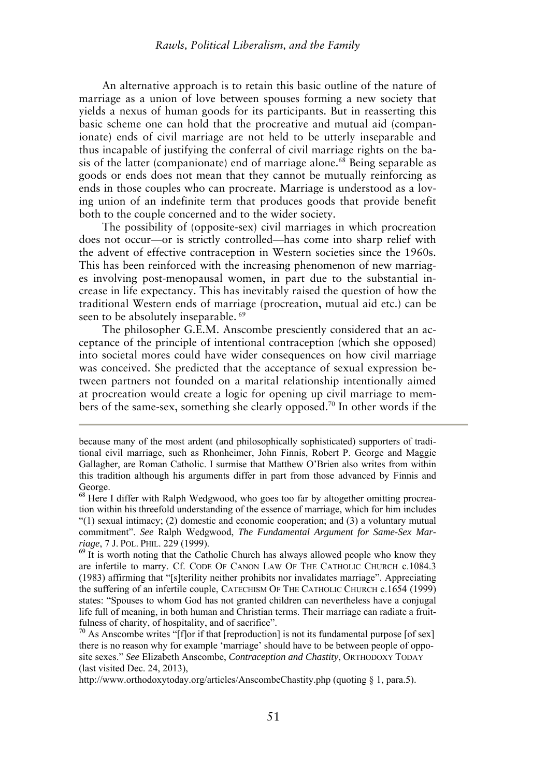An alternative approach is to retain this basic outline of the nature of marriage as a union of love between spouses forming a new society that yields a nexus of human goods for its participants. But in reasserting this basic scheme one can hold that the procreative and mutual aid (companionate) ends of civil marriage are not held to be utterly inseparable and thus incapable of justifying the conferral of civil marriage rights on the basis of the latter (companionate) end of marriage alone.<sup>68</sup> Being separable as goods or ends does not mean that they cannot be mutually reinforcing as ends in those couples who can procreate. Marriage is understood as a loving union of an indefinite term that produces goods that provide benefit both to the couple concerned and to the wider society.

The possibility of (opposite-sex) civil marriages in which procreation does not occur—or is strictly controlled—has come into sharp relief with the advent of effective contraception in Western societies since the 1960s. This has been reinforced with the increasing phenomenon of new marriages involving post-menopausal women, in part due to the substantial increase in life expectancy. This has inevitably raised the question of how the traditional Western ends of marriage (procreation, mutual aid etc.) can be seen to be absolutely inseparable.<sup>69</sup>

The philosopher G.E.M. Anscombe presciently considered that an acceptance of the principle of intentional contraception (which she opposed) into societal mores could have wider consequences on how civil marriage was conceived. She predicted that the acceptance of sexual expression between partners not founded on a marital relationship intentionally aimed at procreation would create a logic for opening up civil marriage to members of the same-sex, something she clearly opposed.<sup>70</sup> In other words if the

because many of the most ardent (and philosophically sophisticated) supporters of traditional civil marriage, such as Rhonheimer, John Finnis, Robert P. George and Maggie Gallagher, are Roman Catholic. I surmise that Matthew O'Brien also writes from within this tradition although his arguments differ in part from those advanced by Finnis and George.

<sup>&</sup>lt;sup>68</sup> Here I differ with Ralph Wedgwood, who goes too far by altogether omitting procreation within his threefold understanding of the essence of marriage, which for him includes  $(1)$  sexual intimacy; (2) domestic and economic cooperation; and (3) a voluntary mutual commitment". *See* Ralph Wedgwood, *The Fundamental Argument for Same-Sex Marriage*, 7 J. POL. PHIL. 229 (1999).

<sup>&</sup>lt;sup>69</sup> It is worth noting that the Catholic Church has always allowed people who know they are infertile to marry. Cf. CODE OF CANON LAW OF THE CATHOLIC CHURCH c.1084.3 (1983) affirming that "[s]terility neither prohibits nor invalidates marriage". Appreciating the suffering of an infertile couple, CATECHISM OF THE CATHOLIC CHURCH c.1654 (1999) states: "Spouses to whom God has not granted children can nevertheless have a conjugal life full of meaning, in both human and Christian terms. Their marriage can radiate a fruitfulness of charity, of hospitality, and of sacrifice".

 $70$  As Anscombe writes "[f]or if that [reproduction] is not its fundamental purpose [of sex] there is no reason why for example 'marriage' should have to be between people of opposite sexes." *See* Elizabeth Anscombe, *Contraception and Chastity*, ORTHODOXY TODAY (last visited Dec. 24, 2013),

http://www.orthodoxytoday.org/articles/AnscombeChastity.php (quoting § 1, para.5).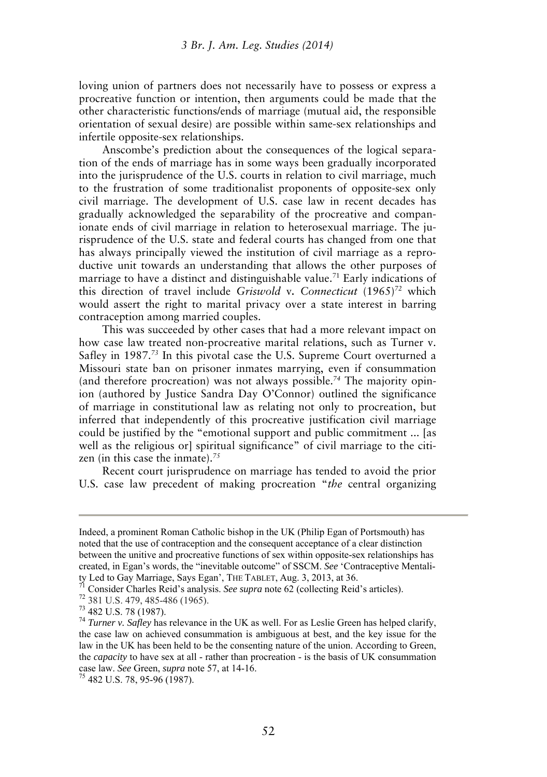loving union of partners does not necessarily have to possess or express a procreative function or intention, then arguments could be made that the other characteristic functions/ends of marriage (mutual aid, the responsible orientation of sexual desire) are possible within same-sex relationships and infertile opposite-sex relationships.

Anscombe's prediction about the consequences of the logical separation of the ends of marriage has in some ways been gradually incorporated into the jurisprudence of the U.S. courts in relation to civil marriage, much to the frustration of some traditionalist proponents of opposite-sex only civil marriage. The development of U.S. case law in recent decades has gradually acknowledged the separability of the procreative and companionate ends of civil marriage in relation to heterosexual marriage. The jurisprudence of the U.S. state and federal courts has changed from one that has always principally viewed the institution of civil marriage as a reproductive unit towards an understanding that allows the other purposes of marriage to have a distinct and distinguishable value.<sup>71</sup> Early indications of this direction of travel include *Griswold* v*. Connecticut* (1965)*<sup>72</sup>* which would assert the right to marital privacy over a state interest in barring contraception among married couples.

This was succeeded by other cases that had a more relevant impact on how case law treated non-procreative marital relations, such as Turner v. Safley in 1987.*<sup>73</sup>* In this pivotal case the U.S. Supreme Court overturned a Missouri state ban on prisoner inmates marrying, even if consummation (and therefore procreation) was not always possible.*74* The majority opinion (authored by Justice Sandra Day O'Connor) outlined the significance of marriage in constitutional law as relating not only to procreation, but inferred that independently of this procreative justification civil marriage could be justified by the "emotional support and public commitment ... [as well as the religious or spiritual significance" of civil marriage to the citizen (in this case the inmate).*<sup>75</sup>*

Recent court jurisprudence on marriage has tended to avoid the prior U.S. case law precedent of making procreation "*the* central organizing

Indeed, a prominent Roman Catholic bishop in the UK (Philip Egan of Portsmouth) has noted that the use of contraception and the consequent acceptance of a clear distinction between the unitive and procreative functions of sex within opposite-sex relationships has created, in Egan's words, the "inevitable outcome" of SSCM. *See* 'Contraceptive Mentality Led to Gay Marriage, Says Egan', THE TABLET, Aug. 3, 2013, at 36.

<sup>71</sup> Consider Charles Reid's analysis. *See supra* note 62 (collecting Reid's articles).

<sup>72</sup> 381 U.S. 479, 485-486 (1965).

<sup>73</sup> 482 U.S. 78 (1987).

<sup>74</sup> *Turner v. Safley* has relevance in the UK as well. For as Leslie Green has helped clarify, the case law on achieved consummation is ambiguous at best, and the key issue for the law in the UK has been held to be the consenting nature of the union. According to Green, the *capacity* to have sex at all - rather than procreation - is the basis of UK consummation case law. *See* Green, *supra* note 57, at 14-16.

<sup>75</sup> 482 U.S. 78, 95-96 (1987).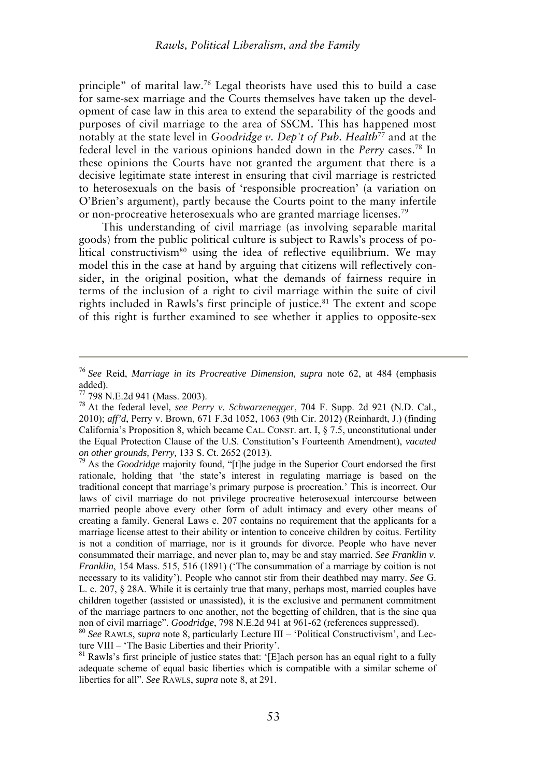principle" of marital law.<sup>76</sup> Legal theorists have used this to build a case for same-sex marriage and the Courts themselves have taken up the development of case law in this area to extend the separability of the goods and purposes of civil marriage to the area of SSCM. This has happened most notably at the state level in *Goodridge v. Dep't of Pub. Health*<sup>77</sup> and at the federal level in the various opinions handed down in the *Perry* cases.<sup>78</sup> In these opinions the Courts have not granted the argument that there is a decisive legitimate state interest in ensuring that civil marriage is restricted to heterosexuals on the basis of 'responsible procreation' (a variation on O'Brien's argument), partly because the Courts point to the many infertile or non-procreative heterosexuals who are granted marriage licenses.<sup>79</sup>

This understanding of civil marriage (as involving separable marital goods) from the public political culture is subject to Rawls's process of political constructivism<sup>80</sup> using the idea of reflective equilibrium. We may model this in the case at hand by arguing that citizens will reflectively consider, in the original position, what the demands of fairness require in terms of the inclusion of a right to civil marriage within the suite of civil rights included in Rawls's first principle of justice.<sup>81</sup> The extent and scope of this right is further examined to see whether it applies to opposite-sex

<sup>76</sup> *See* Reid, *Marriage in its Procreative Dimension, supra* note 62, at 484 (emphasis added).

<sup>77</sup> 798 N.E.2d 941 (Mass. 2003).

<sup>78</sup> At the federal level, *see Perry v. Schwarzenegger*, 704 F. Supp. 2d 921 (N.D. Cal., 2010); *aff'd*, Perry v. Brown, 671 F.3d 1052, 1063 (9th Cir. 2012) (Reinhardt, J.) (finding California's Proposition 8, which became CAL. CONST. art. I, § 7.5, unconstitutional under the Equal Protection Clause of the U.S. Constitution's Fourteenth Amendment), *vacated on other grounds, Perry,* 133 S. Ct. 2652 (2013).

<sup>79</sup> As the *Goodridge* majority found, "[t]he judge in the Superior Court endorsed the first rationale, holding that 'the state's interest in regulating marriage is based on the traditional concept that marriage's primary purpose is procreation.' This is incorrect. Our laws of civil marriage do not privilege procreative heterosexual intercourse between married people above every other form of adult intimacy and every other means of creating a family. General Laws c. 207 contains no requirement that the applicants for a marriage license attest to their ability or intention to conceive children by coitus. Fertility is not a condition of marriage, nor is it grounds for divorce. People who have never consummated their marriage, and never plan to, may be and stay married. *See Franklin v. Franklin*, 154 Mass. 515, 516 (1891) ('The consummation of a marriage by coition is not necessary to its validity'). People who cannot stir from their deathbed may marry. *See* G. L. c. 207, § 28A. While it is certainly true that many, perhaps most, married couples have children together (assisted or unassisted), it is the exclusive and permanent commitment of the marriage partners to one another, not the begetting of children, that is the sine qua non of civil marriage". *Goodridge*, 798 N.E.2d 941 at 961-62 (references suppressed).

<sup>80</sup> *See* RAWLS, *supra* note 8, particularly Lecture III – 'Political Constructivism', and Lecture VIII – 'The Basic Liberties and their Priority'.

<sup>&</sup>lt;sup>81</sup> Rawls's first principle of justice states that: '[E]ach person has an equal right to a fully adequate scheme of equal basic liberties which is compatible with a similar scheme of liberties for all". *See* RAWLS, *supra* note 8, at 291.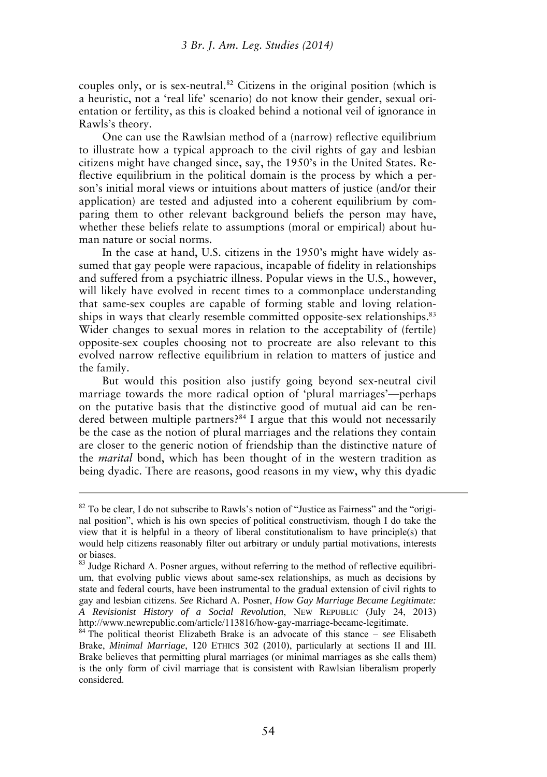couples only, or is sex-neutral.<sup>82</sup> Citizens in the original position (which is a heuristic, not a 'real life' scenario) do not know their gender, sexual orientation or fertility, as this is cloaked behind a notional veil of ignorance in Rawls's theory.

One can use the Rawlsian method of a (narrow) reflective equilibrium to illustrate how a typical approach to the civil rights of gay and lesbian citizens might have changed since, say, the 1950's in the United States. Reflective equilibrium in the political domain is the process by which a person's initial moral views or intuitions about matters of justice (and/or their application) are tested and adjusted into a coherent equilibrium by comparing them to other relevant background beliefs the person may have, whether these beliefs relate to assumptions (moral or empirical) about human nature or social norms.

In the case at hand, U.S. citizens in the 1950's might have widely assumed that gay people were rapacious, incapable of fidelity in relationships and suffered from a psychiatric illness. Popular views in the U.S., however, will likely have evolved in recent times to a commonplace understanding that same-sex couples are capable of forming stable and loving relationships in ways that clearly resemble committed opposite-sex relationships.<sup>83</sup> Wider changes to sexual mores in relation to the acceptability of (fertile) opposite-sex couples choosing not to procreate are also relevant to this evolved narrow reflective equilibrium in relation to matters of justice and the family.

But would this position also justify going beyond sex-neutral civil marriage towards the more radical option of 'plural marriages'—perhaps on the putative basis that the distinctive good of mutual aid can be rendered between multiple partners?<sup>84</sup> I argue that this would not necessarily be the case as the notion of plural marriages and the relations they contain are closer to the generic notion of friendship than the distinctive nature of the *marital* bond, which has been thought of in the western tradition as being dyadic. There are reasons, good reasons in my view, why this dyadic

 $82$  To be clear, I do not subscribe to Rawls's notion of "Justice as Fairness" and the "original position", which is his own species of political constructivism, though I do take the view that it is helpful in a theory of liberal constitutionalism to have principle(s) that would help citizens reasonably filter out arbitrary or unduly partial motivations, interests or biases.

<sup>&</sup>lt;sup>83</sup> Judge Richard A. Posner argues, without referring to the method of reflective equilibrium, that evolving public views about same-sex relationships, as much as decisions by state and federal courts, have been instrumental to the gradual extension of civil rights to gay and lesbian citizens. *See* Richard A. Posner, *How Gay Marriage Became Legitimate: A Revisionist History of a Social Revolution*, NEW REPUBLIC (July 24, 2013) http://www.newrepublic.com/article/113816/how-gay-marriage-became-legitimate.

<sup>84</sup> The political theorist Elizabeth Brake is an advocate of this stance – *see* Elisabeth Brake, *Minimal Marriage*, 120 ETHICS 302 (2010), particularly at sections II and III. Brake believes that permitting plural marriages (or minimal marriages as she calls them) is the only form of civil marriage that is consistent with Rawlsian liberalism properly considered.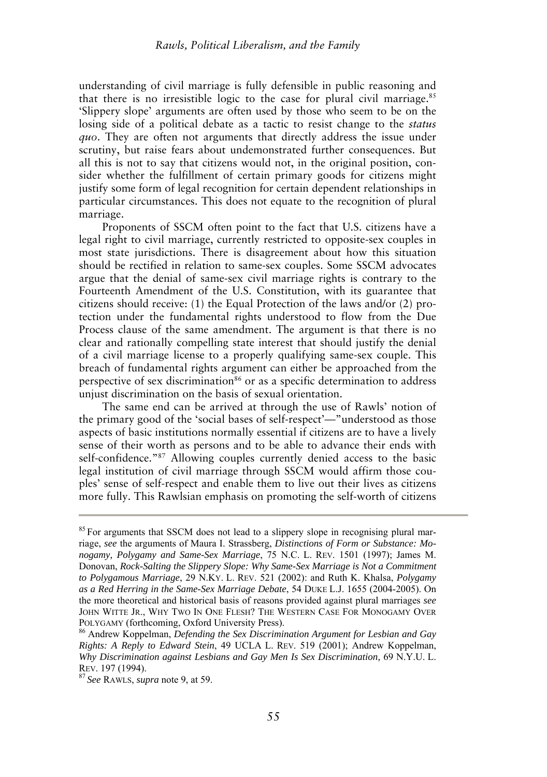understanding of civil marriage is fully defensible in public reasoning and that there is no irresistible logic to the case for plural civil marriage.<sup>85</sup> 'Slippery slope' arguments are often used by those who seem to be on the losing side of a political debate as a tactic to resist change to the *status quo*. They are often not arguments that directly address the issue under scrutiny, but raise fears about undemonstrated further consequences. But all this is not to say that citizens would not, in the original position, consider whether the fulfillment of certain primary goods for citizens might justify some form of legal recognition for certain dependent relationships in particular circumstances. This does not equate to the recognition of plural marriage.

Proponents of SSCM often point to the fact that U.S. citizens have a legal right to civil marriage, currently restricted to opposite-sex couples in most state jurisdictions. There is disagreement about how this situation should be rectified in relation to same-sex couples. Some SSCM advocates argue that the denial of same-sex civil marriage rights is contrary to the Fourteenth Amendment of the U.S. Constitution, with its guarantee that citizens should receive: (1) the Equal Protection of the laws and/or (2) protection under the fundamental rights understood to flow from the Due Process clause of the same amendment. The argument is that there is no clear and rationally compelling state interest that should justify the denial of a civil marriage license to a properly qualifying same-sex couple. This breach of fundamental rights argument can either be approached from the perspective of sex discrimination<sup>86</sup> or as a specific determination to address unjust discrimination on the basis of sexual orientation.

The same end can be arrived at through the use of Rawls' notion of the primary good of the 'social bases of self-respect'—"understood as those aspects of basic institutions normally essential if citizens are to have a lively sense of their worth as persons and to be able to advance their ends with self-confidence."<sup>87</sup> Allowing couples currently denied access to the basic legal institution of civil marriage through SSCM would affirm those couples' sense of self-respect and enable them to live out their lives as citizens more fully. This Rawlsian emphasis on promoting the self-worth of citizens

<sup>&</sup>lt;sup>85</sup> For arguments that SSCM does not lead to a slippery slope in recognising plural marriage, *see* the arguments of Maura I. Strassberg, *Distinctions of Form or Substance: Monogamy, Polygamy and Same-Sex Marriage*, 75 N.C. L. REV. 1501 (1997); James M. Donovan, *Rock-Salting the Slippery Slope: Why Same-Sex Marriage is Not a Commitment to Polygamous Marriage*, 29 N.KY. L. REV. 521 (2002): and Ruth K. Khalsa, *Polygamy as a Red Herring in the Same-Sex Marriage Debate*, 54 DUKE L.J. 1655 (2004-2005). On the more theoretical and historical basis of reasons provided against plural marriages *see* JOHN WITTE JR., WHY TWO IN ONE FLESH? THE WESTERN CASE FOR MONOGAMY OVER POLYGAMY (forthcoming, Oxford University Press).

<sup>86</sup> Andrew Koppelman, *Defending the Sex Discrimination Argument for Lesbian and Gay Rights: A Reply to Edward Stein*, 49 UCLA L. REV. 519 (2001); Andrew Koppelman, *Why Discrimination against Lesbians and Gay Men Is Sex Discrimination,* 69 N.Y.U. L. REV. 197 (1994).

<sup>87</sup>*See* RAWLS, *supra* note 9, at 59.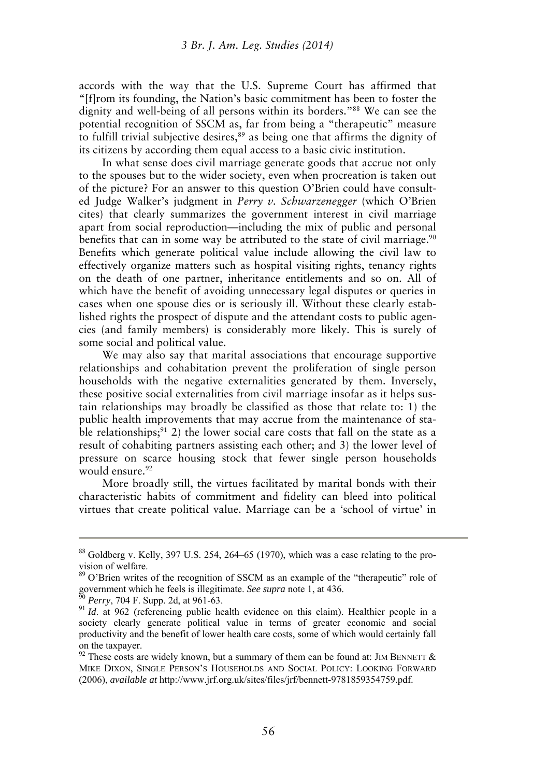accords with the way that the U.S. Supreme Court has affirmed that "[f]rom its founding, the Nation's basic commitment has been to foster the dignity and well-being of all persons within its borders."<sup>88</sup> We can see the potential recognition of SSCM as, far from being a "therapeutic" measure to fulfill trivial subjective desires,<sup>89</sup> as being one that affirms the dignity of its citizens by according them equal access to a basic civic institution.

In what sense does civil marriage generate goods that accrue not only to the spouses but to the wider society, even when procreation is taken out of the picture? For an answer to this question O'Brien could have consulted Judge Walker's judgment in *Perry v. Schwarzenegger* (which O'Brien cites) that clearly summarizes the government interest in civil marriage apart from social reproduction—including the mix of public and personal benefits that can in some way be attributed to the state of civil marriage.<sup>90</sup> Benefits which generate political value include allowing the civil law to effectively organize matters such as hospital visiting rights, tenancy rights on the death of one partner, inheritance entitlements and so on. All of which have the benefit of avoiding unnecessary legal disputes or queries in cases when one spouse dies or is seriously ill. Without these clearly established rights the prospect of dispute and the attendant costs to public agencies (and family members) is considerably more likely. This is surely of some social and political value.

We may also say that marital associations that encourage supportive relationships and cohabitation prevent the proliferation of single person households with the negative externalities generated by them. Inversely, these positive social externalities from civil marriage insofar as it helps sustain relationships may broadly be classified as those that relate to: 1) the public health improvements that may accrue from the maintenance of stable relationships;<sup>91</sup> 2) the lower social care costs that fall on the state as a result of cohabiting partners assisting each other; and 3) the lower level of pressure on scarce housing stock that fewer single person households would ensure.<sup>92</sup>

More broadly still, the virtues facilitated by marital bonds with their characteristic habits of commitment and fidelity can bleed into political virtues that create political value. Marriage can be a 'school of virtue' in

<sup>88</sup> Goldberg v. Kelly, 397 U.S. 254, 264–65 (1970), which was a case relating to the provision of welfare.

<sup>&</sup>lt;sup>89</sup> O'Brien writes of the recognition of SSCM as an example of the "therapeutic" role of government which he feels is illegitimate. *See supra* note 1, at 436.

*Perry*, 704 F. Supp. 2d, at 961-63.

<sup>&</sup>lt;sup>91</sup> *Id.* at 962 (referencing public health evidence on this claim). Healthier people in a society clearly generate political value in terms of greater economic and social productivity and the benefit of lower health care costs, some of which would certainly fall on the taxpayer.

 $92$  These costs are widely known, but a summary of them can be found at: JIM BENNETT  $\&$ MIKE DIXON, SINGLE PERSON'S HOUSEHOLDS AND SOCIAL POLICY: LOOKING FORWARD (2006), *available at* http://www.jrf.org.uk/sites/files/jrf/bennett-9781859354759.pdf.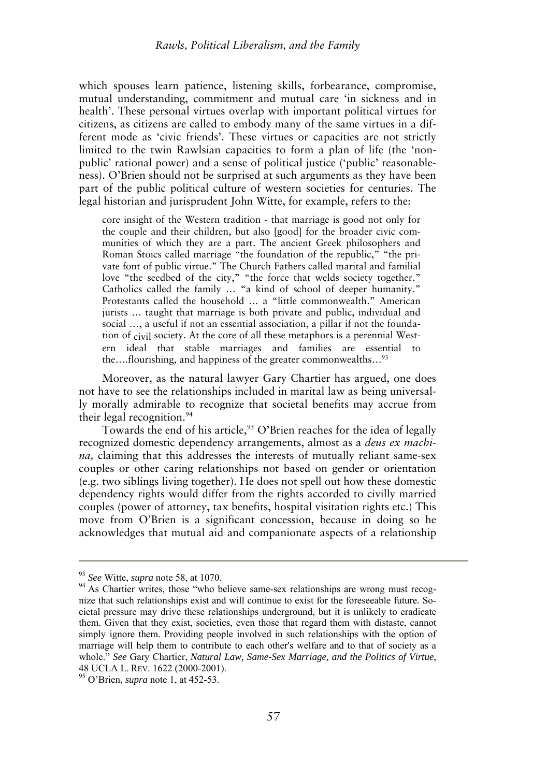which spouses learn patience, listening skills, forbearance, compromise, mutual understanding, commitment and mutual care 'in sickness and in health'. These personal virtues overlap with important political virtues for citizens, as citizens are called to embody many of the same virtues in a different mode as 'civic friends'. These virtues or capacities are not strictly limited to the twin Rawlsian capacities to form a plan of life (the 'nonpublic' rational power) and a sense of political justice ('public' reasonableness). O'Brien should not be surprised at such arguments as they have been part of the public political culture of western societies for centuries. The legal historian and jurisprudent John Witte, for example, refers to the:

core insight of the Western tradition - that marriage is good not only for the couple and their children, but also [good] for the broader civic communities of which they are a part. The ancient Greek philosophers and Roman Stoics called marriage "the foundation of the republic," "the private font of public virtue." The Church Fathers called marital and familial love "the seedbed of the city," "the force that welds society together." Catholics called the family … "a kind of school of deeper humanity." Protestants called the household … a "little commonwealth." American jurists … taught that marriage is both private and public, individual and social …, a useful if not an essential association, a pillar if not the foundation of civil society. At the core of all these metaphors is a perennial Western ideal that stable marriages and families are essential to the….flourishing, and happiness of the greater commonwealths…<sup>93</sup>

Moreover, as the natural lawyer Gary Chartier has argued, one does not have to see the relationships included in marital law as being universally morally admirable to recognize that societal benefits may accrue from their legal recognition.<sup>94</sup>

Towards the end of his article,<sup>95</sup> O'Brien reaches for the idea of legally recognized domestic dependency arrangements, almost as a *deus ex machina,* claiming that this addresses the interests of mutually reliant same-sex couples or other caring relationships not based on gender or orientation (e.g. two siblings living together). He does not spell out how these domestic dependency rights would differ from the rights accorded to civilly married couples (power of attorney, tax benefits, hospital visitation rights etc.) This move from O'Brien is a significant concession, because in doing so he acknowledges that mutual aid and companionate aspects of a relationship

<sup>93</sup> *See* Witte, *supra* note 58, at 1070.

<sup>&</sup>lt;sup>94</sup> As Chartier writes, those "who believe same-sex relationships are wrong must recognize that such relationships exist and will continue to exist for the foreseeable future. Societal pressure may drive these relationships underground, but it is unlikely to eradicate them. Given that they exist, societies, even those that regard them with distaste, cannot simply ignore them. Providing people involved in such relationships with the option of marriage will help them to contribute to each other's welfare and to that of society as a whole." *See* Gary Chartier, *Natural Law, Same-Sex Marriage, and the Politics of Virtue*, 48 UCLA L. REV. 1622 (2000-2001).

<sup>95</sup> O'Brien, *supra* note 1, at 452-53.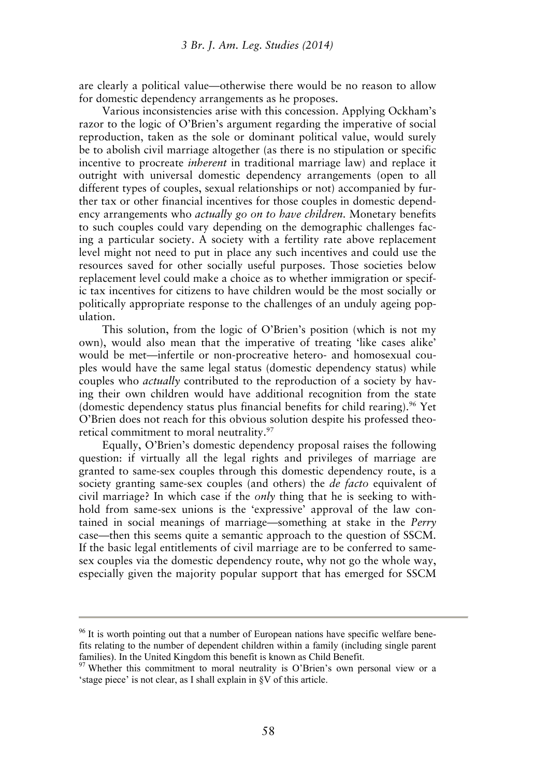are clearly a political value—otherwise there would be no reason to allow for domestic dependency arrangements as he proposes.

Various inconsistencies arise with this concession. Applying Ockham's razor to the logic of O'Brien's argument regarding the imperative of social reproduction, taken as the sole or dominant political value, would surely be to abolish civil marriage altogether (as there is no stipulation or specific incentive to procreate *inherent* in traditional marriage law) and replace it outright with universal domestic dependency arrangements (open to all different types of couples, sexual relationships or not) accompanied by further tax or other financial incentives for those couples in domestic dependency arrangements who *actually go on to have children.* Monetary benefits to such couples could vary depending on the demographic challenges facing a particular society. A society with a fertility rate above replacement level might not need to put in place any such incentives and could use the resources saved for other socially useful purposes. Those societies below replacement level could make a choice as to whether immigration or specific tax incentives for citizens to have children would be the most socially or politically appropriate response to the challenges of an unduly ageing population.

This solution, from the logic of O'Brien's position (which is not my own), would also mean that the imperative of treating 'like cases alike' would be met—infertile or non-procreative hetero- and homosexual couples would have the same legal status (domestic dependency status) while couples who *actually* contributed to the reproduction of a society by having their own children would have additional recognition from the state (domestic dependency status plus financial benefits for child rearing).<sup>96</sup> Yet O'Brien does not reach for this obvious solution despite his professed theoretical commitment to moral neutrality.<sup>97</sup>

Equally, O'Brien's domestic dependency proposal raises the following question: if virtually all the legal rights and privileges of marriage are granted to same-sex couples through this domestic dependency route, is a society granting same-sex couples (and others) the *de facto* equivalent of civil marriage? In which case if the *only* thing that he is seeking to withhold from same-sex unions is the 'expressive' approval of the law contained in social meanings of marriage—something at stake in the *Perry* case—then this seems quite a semantic approach to the question of SSCM. If the basic legal entitlements of civil marriage are to be conferred to samesex couples via the domestic dependency route, why not go the whole way, especially given the majority popular support that has emerged for SSCM

<sup>&</sup>lt;sup>96</sup> It is worth pointing out that a number of European nations have specific welfare benefits relating to the number of dependent children within a family (including single parent families). In the United Kingdom this benefit is known as Child Benefit.

<sup>97</sup> Whether this commitment to moral neutrality is O'Brien's own personal view or a 'stage piece' is not clear, as I shall explain in §V of this article.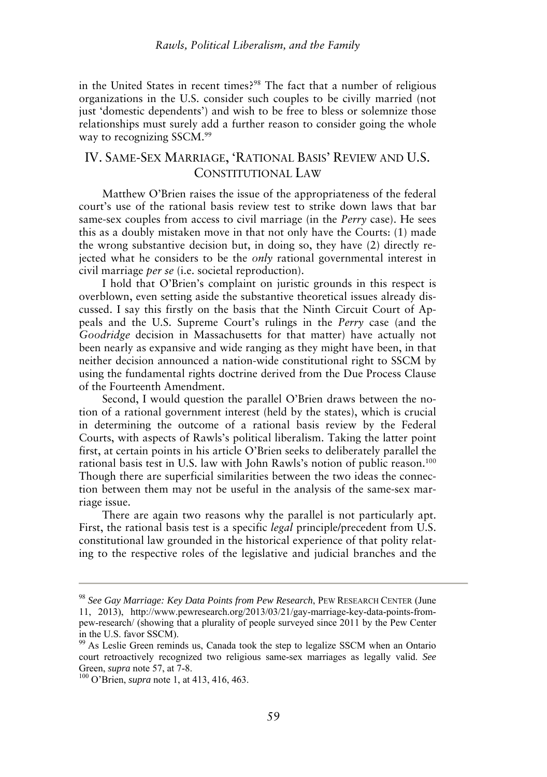in the United States in recent times?<sup>98</sup> The fact that a number of religious organizations in the U.S. consider such couples to be civilly married (not just 'domestic dependents') and wish to be free to bless or solemnize those relationships must surely add a further reason to consider going the whole way to recognizing SSCM.<sup>99</sup>

### IV. SAME-SEX MARRIAGE, 'RATIONAL BASIS' REVIEW AND U.S. CONSTITUTIONAL LAW

Matthew O'Brien raises the issue of the appropriateness of the federal court's use of the rational basis review test to strike down laws that bar same-sex couples from access to civil marriage (in the *Perry* case). He sees this as a doubly mistaken move in that not only have the Courts: (1) made the wrong substantive decision but, in doing so, they have (2) directly rejected what he considers to be the *only* rational governmental interest in civil marriage *per se* (i.e. societal reproduction).

I hold that O'Brien's complaint on juristic grounds in this respect is overblown, even setting aside the substantive theoretical issues already discussed. I say this firstly on the basis that the Ninth Circuit Court of Appeals and the U.S. Supreme Court's rulings in the *Perry* case (and the *Goodridge* decision in Massachusetts for that matter) have actually not been nearly as expansive and wide ranging as they might have been, in that neither decision announced a nation-wide constitutional right to SSCM by using the fundamental rights doctrine derived from the Due Process Clause of the Fourteenth Amendment.

Second, I would question the parallel O'Brien draws between the notion of a rational government interest (held by the states), which is crucial in determining the outcome of a rational basis review by the Federal Courts, with aspects of Rawls's political liberalism. Taking the latter point first, at certain points in his article O'Brien seeks to deliberately parallel the rational basis test in U.S. law with John Rawls's notion of public reason.<sup>100</sup> Though there are superficial similarities between the two ideas the connection between them may not be useful in the analysis of the same-sex marriage issue.

There are again two reasons why the parallel is not particularly apt. First, the rational basis test is a specific *legal* principle/precedent from U.S. constitutional law grounded in the historical experience of that polity relating to the respective roles of the legislative and judicial branches and the

<sup>98</sup> *See Gay Marriage: Key Data Points from Pew Research*, PEW RESEARCH CENTER (June 11, 2013), http://www.pewresearch.org/2013/03/21/gay-marriage-key-data-points-frompew-research/ (showing that a plurality of people surveyed since 2011 by the Pew Center in the U.S. favor SSCM).

<sup>&</sup>lt;sup>99</sup> As Leslie Green reminds us, Canada took the step to legalize SSCM when an Ontario court retroactively recognized two religious same-sex marriages as legally valid. *See* Green, *supra* note 57, at 7-8.

<sup>100</sup> O'Brien, *supra* note 1, at 413, 416, 463.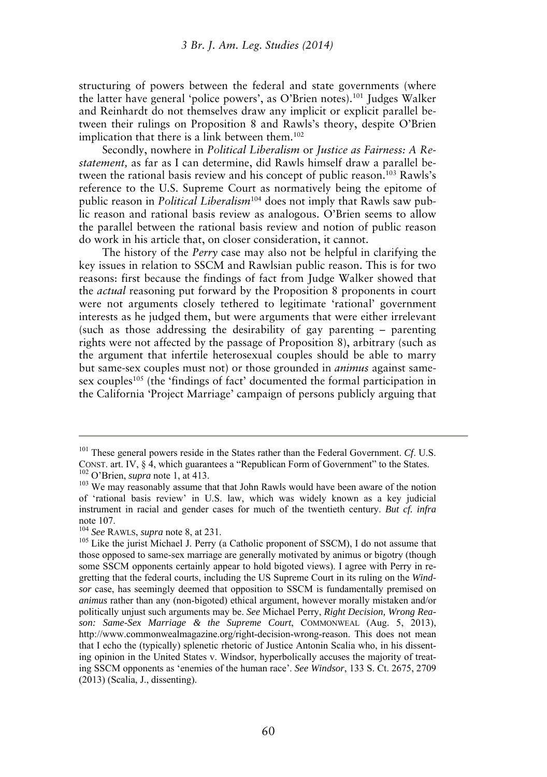structuring of powers between the federal and state governments (where the latter have general 'police powers', as O'Brien notes).<sup>101</sup> Judges Walker and Reinhardt do not themselves draw any implicit or explicit parallel between their rulings on Proposition 8 and Rawls's theory, despite O'Brien implication that there is a link between them.<sup>102</sup>

Secondly, nowhere in *Political Liberalism* or *Justice as Fairness: A Restatement,* as far as I can determine, did Rawls himself draw a parallel between the rational basis review and his concept of public reason.<sup>103</sup> Rawls's reference to the U.S. Supreme Court as normatively being the epitome of public reason in *Political Liberalism*104 does not imply that Rawls saw public reason and rational basis review as analogous. O'Brien seems to allow the parallel between the rational basis review and notion of public reason do work in his article that, on closer consideration, it cannot.

The history of the *Perry* case may also not be helpful in clarifying the key issues in relation to SSCM and Rawlsian public reason. This is for two reasons: first because the findings of fact from Judge Walker showed that the *actual* reasoning put forward by the Proposition 8 proponents in court were not arguments closely tethered to legitimate 'rational' government interests as he judged them, but were arguments that were either irrelevant (such as those addressing the desirability of gay parenting – parenting rights were not affected by the passage of Proposition 8), arbitrary (such as the argument that infertile heterosexual couples should be able to marry but same-sex couples must not) or those grounded in *animus* against samesex couples<sup>105</sup> (the 'findings of fact' documented the formal participation in the California 'Project Marriage' campaign of persons publicly arguing that

<sup>101</sup> These general powers reside in the States rather than the Federal Government. *Cf*. U.S. CONST. art. IV, § 4, which guarantees a "Republican Form of Government" to the States. <sup>102</sup> O'Brien, *supra* note 1, at 413.

<sup>&</sup>lt;sup>103</sup> We may reasonably assume that that John Rawls would have been aware of the notion of 'rational basis review' in U.S. law, which was widely known as a key judicial instrument in racial and gender cases for much of the twentieth century. *But cf. infra* note 107.

<sup>104</sup> *See* RAWLS, *supra* note 8, at 231.

<sup>&</sup>lt;sup>105</sup> Like the jurist Michael J. Perry (a Catholic proponent of SSCM), I do not assume that those opposed to same-sex marriage are generally motivated by animus or bigotry (though some SSCM opponents certainly appear to hold bigoted views). I agree with Perry in regretting that the federal courts, including the US Supreme Court in its ruling on the *Windsor* case, has seemingly deemed that opposition to SSCM is fundamentally premised on *animus* rather than any (non-bigoted) ethical argument, however morally mistaken and/or politically unjust such arguments may be. *See* Michael Perry, *Right Decision, Wrong Reason: Same-Sex Marriage & the Supreme Court*, COMMONWEAL (Aug. 5, 2013), http://www.commonwealmagazine.org/right-decision-wrong-reason. This does not mean that I echo the (typically) splenetic rhetoric of Justice Antonin Scalia who, in his dissenting opinion in the United States v. Windsor, hyperbolically accuses the majority of treating SSCM opponents as 'enemies of the human race'. *See Windsor*, 133 S. Ct. 2675, 2709 (2013) (Scalia, J., dissenting).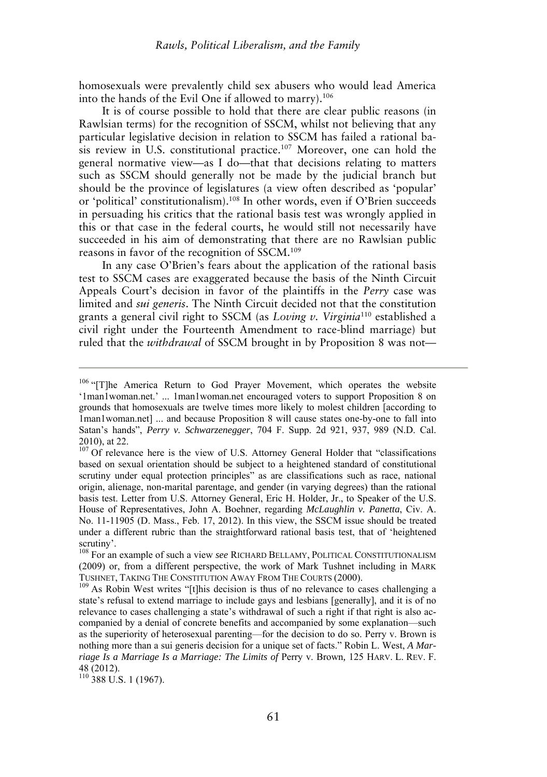homosexuals were prevalently child sex abusers who would lead America into the hands of the Evil One if allowed to marry).<sup>106</sup>

It is of course possible to hold that there are clear public reasons (in Rawlsian terms) for the recognition of SSCM, whilst not believing that any particular legislative decision in relation to SSCM has failed a rational basis review in U.S. constitutional practice.<sup>107</sup> Moreover, one can hold the general normative view—as I do—that that decisions relating to matters such as SSCM should generally not be made by the judicial branch but should be the province of legislatures (a view often described as 'popular' or 'political' constitutionalism).<sup>108</sup> In other words, even if O'Brien succeeds in persuading his critics that the rational basis test was wrongly applied in this or that case in the federal courts, he would still not necessarily have succeeded in his aim of demonstrating that there are no Rawlsian public reasons in favor of the recognition of SSCM.<sup>109</sup>

In any case O'Brien's fears about the application of the rational basis test to SSCM cases are exaggerated because the basis of the Ninth Circuit Appeals Court's decision in favor of the plaintiffs in the *Perry* case was limited and *sui generis*. The Ninth Circuit decided not that the constitution grants a general civil right to SSCM (as *Loving v. Virginia*<sup>110</sup> established a civil right under the Fourteenth Amendment to race-blind marriage) but ruled that the *withdrawal* of SSCM brought in by Proposition 8 was not—

 $110$  388 U.S. 1 (1967).

<sup>&</sup>lt;sup>106</sup> "[T]he America Return to God Prayer Movement, which operates the website '1man1woman.net.' ... 1man1woman.net encouraged voters to support Proposition 8 on grounds that homosexuals are twelve times more likely to molest children [according to 1man1woman.net] ... and because Proposition 8 will cause states one-by-one to fall into Satan's hands", *Perry v. Schwarzenegger*, 704 F. Supp. 2d 921, 937, 989 (N.D. Cal. 2010), at 22.

<sup>&</sup>lt;sup>107</sup> Of relevance here is the view of U.S. Attorney General Holder that "classifications based on sexual orientation should be subject to a heightened standard of constitutional scrutiny under equal protection principles" as are classifications such as race, national origin, alienage, non-marital parentage, and gender (in varying degrees) than the rational basis test. Letter from U.S. Attorney General, Eric H. Holder, Jr., to Speaker of the U.S. House of Representatives, John A. Boehner, regarding *McLaughlin v. Panetta*, Civ. A. No. 11-11905 (D. Mass., Feb. 17, 2012). In this view, the SSCM issue should be treated under a different rubric than the straightforward rational basis test, that of 'heightened scrutiny'.

<sup>&</sup>lt;sup>108</sup> For an example of such a view *see* RICHARD BELLAMY, POLITICAL CONSTITUTIONALISM (2009) or, from a different perspective, the work of Mark Tushnet including in MARK TUSHNET, TAKING THE CONSTITUTION AWAY FROM THE COURTS (2000).

 $109$  As Robin West writes "[t]his decision is thus of no relevance to cases challenging a state's refusal to extend marriage to include gays and lesbians [generally], and it is of no relevance to cases challenging a state's withdrawal of such a right if that right is also accompanied by a denial of concrete benefits and accompanied by some explanation—such as the superiority of heterosexual parenting—for the decision to do so. Perry v. Brown is nothing more than a sui generis decision for a unique set of facts." Robin L. West, *A Marriage Is a Marriage Is a Marriage: The Limits of* Perry v. Brown*,* 125 HARV. L. REV. F. 48 (2012).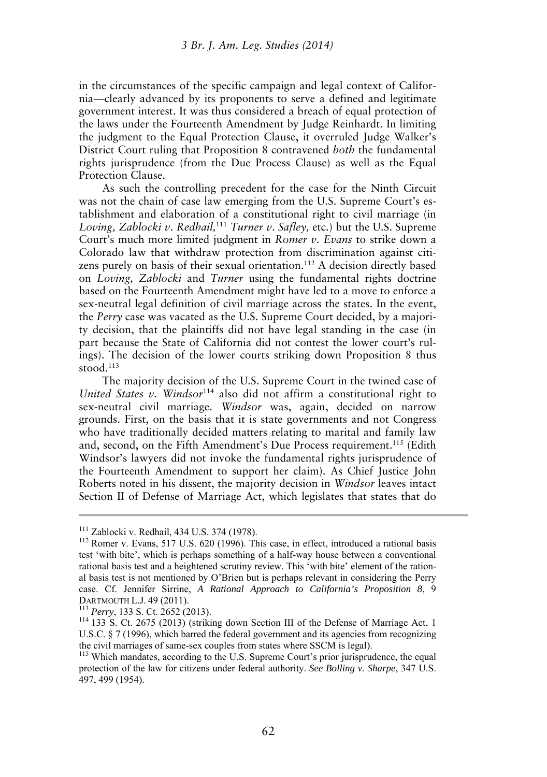in the circumstances of the specific campaign and legal context of California—clearly advanced by its proponents to serve a defined and legitimate government interest. It was thus considered a breach of equal protection of the laws under the Fourteenth Amendment by Judge Reinhardt. In limiting the judgment to the Equal Protection Clause, it overruled Judge Walker's District Court ruling that Proposition 8 contravened *both* the fundamental rights jurisprudence (from the Due Process Clause) as well as the Equal Protection Clause.

As such the controlling precedent for the case for the Ninth Circuit was not the chain of case law emerging from the U.S. Supreme Court's establishment and elaboration of a constitutional right to civil marriage (in *Loving, Zablocki v*. *Redhail,*<sup>111</sup> *Turner v*. *Safley,* etc.) but the U.S. Supreme Court's much more limited judgment in *Romer v. Evans* to strike down a Colorado law that withdraw protection from discrimination against citizens purely on basis of their sexual orientation.<sup>112</sup> A decision directly based on *Loving, Zablocki* and *Turner* using the fundamental rights doctrine based on the Fourteenth Amendment might have led to a move to enforce a sex-neutral legal definition of civil marriage across the states. In the event, the *Perry* case was vacated as the U.S. Supreme Court decided, by a majority decision, that the plaintiffs did not have legal standing in the case (in part because the State of California did not contest the lower court's rulings). The decision of the lower courts striking down Proposition 8 thus stood.<sup>113</sup>

The majority decision of the U.S. Supreme Court in the twined case of United States v. Windsor<sup>114</sup> also did not affirm a constitutional right to sex-neutral civil marriage. *Windsor* was, again, decided on narrow grounds. First, on the basis that it is state governments and not Congress who have traditionally decided matters relating to marital and family law and, second, on the Fifth Amendment's Due Process requirement.<sup>115</sup> (Edith Windsor's lawyers did not invoke the fundamental rights jurisprudence of the Fourteenth Amendment to support her claim). As Chief Justice John Roberts noted in his dissent, the majority decision in *Windsor* leaves intact Section II of Defense of Marriage Act, which legislates that states that do

<sup>111</sup> Zablocki v. Redhail, 434 U.S. 374 (1978).

<sup>&</sup>lt;sup>112</sup> Romer v. Evans, 517 U.S. 620 (1996). This case, in effect, introduced a rational basis test 'with bite', which is perhaps something of a half-way house between a conventional rational basis test and a heightened scrutiny review. This 'with bite' element of the rational basis test is not mentioned by O'Brien but is perhaps relevant in considering the Perry case. Cf. Jennifer Sirrine, *A Rational Approach to California's Proposition 8*, 9 DARTMOUTH L.J. 49 (2011).

<sup>113</sup> *Perry*, 133 S. Ct. 2652 (2013).

<sup>114</sup> 133 S. Ct. 2675 (2013) (striking down Section III of the Defense of Marriage Act, 1 U.S.C. § 7 (1996), which barred the federal government and its agencies from recognizing the civil marriages of same-sex couples from states where SSCM is legal).

<sup>&</sup>lt;sup>115</sup> Which mandates, according to the U.S. Supreme Court's prior jurisprudence, the equal protection of the law for citizens under federal authority. *See Bolling v. Sharpe*, 347 U.S. 497, 499 (1954).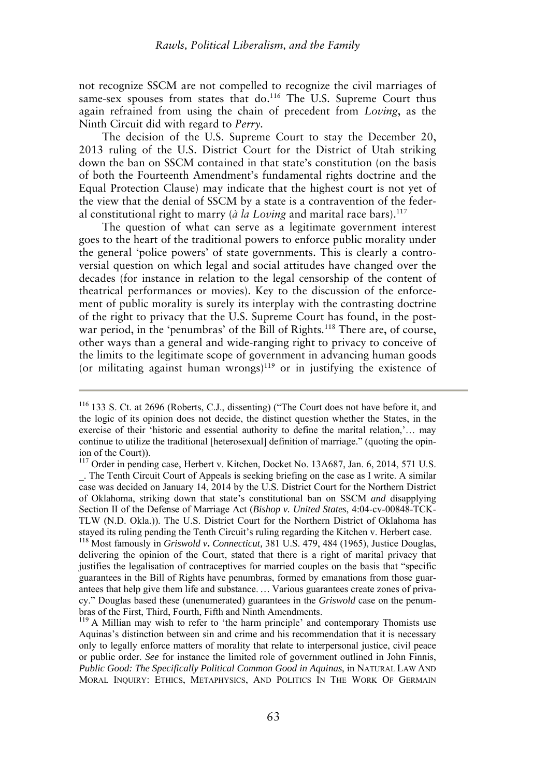not recognize SSCM are not compelled to recognize the civil marriages of same-sex spouses from states that do.<sup>116</sup> The U.S. Supreme Court thus again refrained from using the chain of precedent from *Loving*, as the Ninth Circuit did with regard to *Perry.* 

The decision of the U.S. Supreme Court to stay the December 20, 2013 ruling of the U.S. District Court for the District of Utah striking down the ban on SSCM contained in that state's constitution (on the basis of both the Fourteenth Amendment's fundamental rights doctrine and the Equal Protection Clause) may indicate that the highest court is not yet of the view that the denial of SSCM by a state is a contravention of the federal constitutional right to marry (*à la Loving* and marital race bars).<sup>117</sup>

The question of what can serve as a legitimate government interest goes to the heart of the traditional powers to enforce public morality under the general 'police powers' of state governments. This is clearly a controversial question on which legal and social attitudes have changed over the decades (for instance in relation to the legal censorship of the content of theatrical performances or movies). Key to the discussion of the enforcement of public morality is surely its interplay with the contrasting doctrine of the right to privacy that the U.S. Supreme Court has found, in the postwar period, in the 'penumbras' of the Bill of Rights*.* <sup>118</sup> There are, of course, other ways than a general and wide-ranging right to privacy to conceive of the limits to the legitimate scope of government in advancing human goods (or militating against human wrongs) $119$  or in justifying the existence of

<sup>116</sup> 133 S. Ct. at 2696 (Roberts, C.J., dissenting) ("The Court does not have before it, and the logic of its opinion does not decide, the distinct question whether the States, in the exercise of their 'historic and essential authority to define the marital relation,'… may continue to utilize the traditional [heterosexual] definition of marriage." (quoting the opinion of the Court)).

<sup>&</sup>lt;sup>117</sup> Order in pending case, Herbert v. Kitchen, Docket No. 13A687, Jan. 6, 2014, 571 U.S. \_. The Tenth Circuit Court of Appeals is seeking briefing on the case as I write. A similar case was decided on January 14, 2014 by the U.S. District Court for the Northern District of Oklahoma, striking down that state's constitutional ban on SSCM *and* disapplying Section II of the Defense of Marriage Act (*Bishop v. United States*, 4:04-cv-00848-TCK-TLW (N.D. Okla.)). The U.S. District Court for the Northern District of Oklahoma has stayed its ruling pending the Tenth Circuit's ruling regarding the Kitchen v. Herbert case.

<sup>&</sup>lt;sup>118</sup> Most famously in *Griswold v***.** *Connecticut*, 381 U.S. 479, 484 (1965), Justice Douglas, delivering the opinion of the Court, stated that there is a right of marital privacy that justifies the legalisation of contraceptives for married couples on the basis that "specific guarantees in the Bill of Rights have penumbras, formed by emanations from those guarantees that help give them life and substance. *…* Various guarantees create zones of privacy." Douglas based these (unenumerated) guarantees in the *Griswold* case on the penumbras of the First, Third, Fourth, Fifth and Ninth Amendments.

 $119$  A Millian may wish to refer to 'the harm principle' and contemporary Thomists use Aquinas's distinction between sin and crime and his recommendation that it is necessary only to legally enforce matters of morality that relate to interpersonal justice, civil peace or public order. *See* for instance the limited role of government outlined in John Finnis, *Public Good: The Specifically Political Common Good in Aquinas*, in NATURAL LAW AND MORAL INQUIRY: ETHICS, METAPHYSICS, AND POLITICS IN THE WORK OF GERMAIN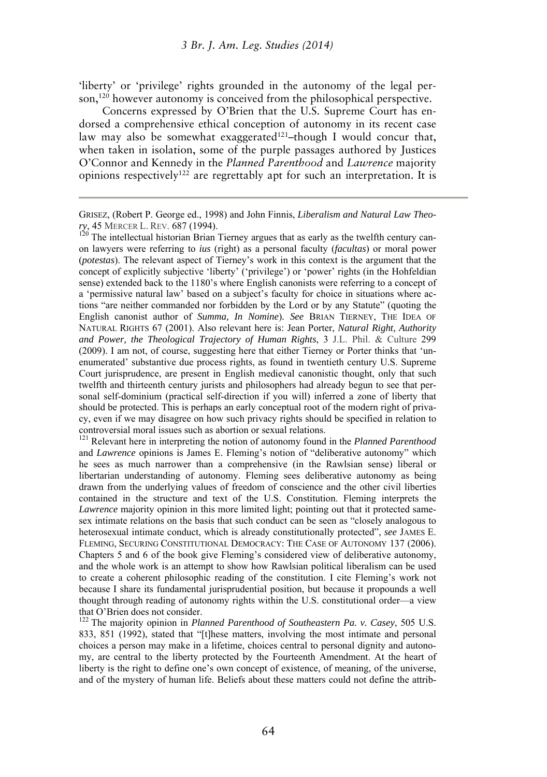'liberty' or 'privilege' rights grounded in the autonomy of the legal person,<sup>120</sup> however autonomy is conceived from the philosophical perspective.

Concerns expressed by O'Brien that the U.S. Supreme Court has endorsed a comprehensive ethical conception of autonomy in its recent case law may also be somewhat exaggerated<sup>121</sup>–though I would concur that, when taken in isolation, some of the purple passages authored by Justices O'Connor and Kennedy in the *Planned Parenthood* and *Lawrence* majority opinions respectively<sup>122</sup> are regrettably apt for such an interpretation. It is

 $120$  The intellectual historian Brian Tierney argues that as early as the twelfth century canon lawyers were referring to *ius* (right) as a personal faculty (*facultas*) or moral power (*potestas*). The relevant aspect of Tierney's work in this context is the argument that the concept of explicitly subjective 'liberty' ('privilege') or 'power' rights (in the Hohfeldian sense) extended back to the 1180's where English canonists were referring to a concept of a 'permissive natural law' based on a subject's faculty for choice in situations where actions "are neither commanded nor forbidden by the Lord or by any Statute" (quoting the English canonist author of *Summa, In Nomine*)*. See* BRIAN TIERNEY, THE IDEA OF NATURAL RIGHTS 67 (2001). Also relevant here is: Jean Porter, *Natural Right, Authority and Power, the Theological Trajectory of Human Rights*, 3 J.L. Phil. & Culture 299 (2009). I am not, of course, suggesting here that either Tierney or Porter thinks that 'unenumerated' substantive due process rights, as found in twentieth century U.S. Supreme Court jurisprudence, are present in English medieval canonistic thought, only that such twelfth and thirteenth century jurists and philosophers had already begun to see that personal self-dominium (practical self-direction if you will) inferred a zone of liberty that should be protected. This is perhaps an early conceptual root of the modern right of privacy, even if we may disagree on how such privacy rights should be specified in relation to controversial moral issues such as abortion or sexual relations.

<sup>121</sup> Relevant here in interpreting the notion of autonomy found in the *Planned Parenthood* and *Lawrence* opinions is James E. Fleming's notion of "deliberative autonomy" which he sees as much narrower than a comprehensive (in the Rawlsian sense) liberal or libertarian understanding of autonomy. Fleming sees deliberative autonomy as being drawn from the underlying values of freedom of conscience and the other civil liberties contained in the structure and text of the U.S. Constitution. Fleming interprets the *Lawrence* majority opinion in this more limited light; pointing out that it protected samesex intimate relations on the basis that such conduct can be seen as "closely analogous to heterosexual intimate conduct, which is already constitutionally protected", *see* JAMES E. FLEMING, SECURING CONSTITUTIONAL DEMOCRACY: THE CASE OF AUTONOMY 137 (2006). Chapters 5 and 6 of the book give Fleming's considered view of deliberative autonomy, and the whole work is an attempt to show how Rawlsian political liberalism can be used to create a coherent philosophic reading of the constitution. I cite Fleming's work not because I share its fundamental jurisprudential position, but because it propounds a well thought through reading of autonomy rights within the U.S. constitutional order—a view that O'Brien does not consider.

<sup>122</sup> The majority opinion in *Planned Parenthood of Southeastern Pa. v. Casey*, 505 U.S. 833, 851 (1992), stated that "[t]hese matters, involving the most intimate and personal choices a person may make in a lifetime, choices central to personal dignity and autonomy, are central to the liberty protected by the Fourteenth Amendment. At the heart of liberty is the right to define one's own concept of existence, of meaning, of the universe, and of the mystery of human life. Beliefs about these matters could not define the attrib-

GRISEZ, (Robert P. George ed., 1998) and John Finnis, *Liberalism and Natural Law Theory*, 45 MERCER L. REV. 687 (1994).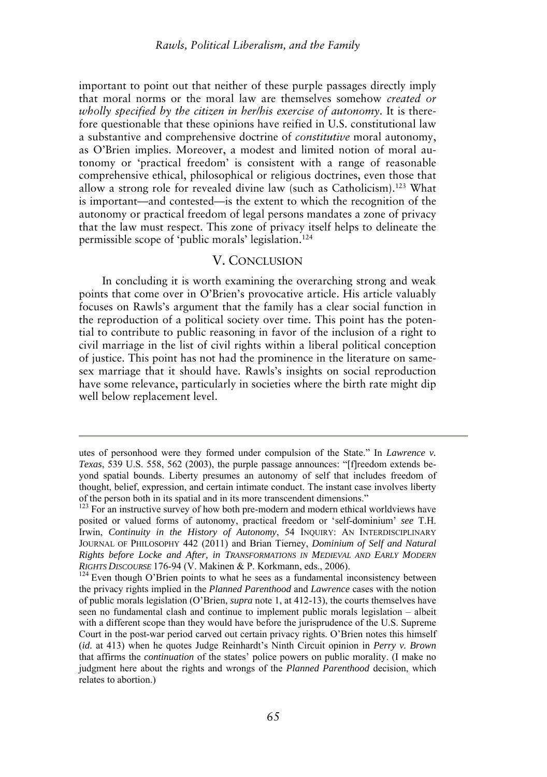important to point out that neither of these purple passages directly imply that moral norms or the moral law are themselves somehow *created or wholly specified by the citizen in her/his exercise of autonomy*. It is therefore questionable that these opinions have reified in U.S. constitutional law a substantive and comprehensive doctrine of *constitutive* moral autonomy, as O'Brien implies. Moreover, a modest and limited notion of moral autonomy or 'practical freedom' is consistent with a range of reasonable comprehensive ethical, philosophical or religious doctrines, even those that allow a strong role for revealed divine law (such as Catholicism).<sup>123</sup> What is important—and contested—is the extent to which the recognition of the autonomy or practical freedom of legal persons mandates a zone of privacy that the law must respect. This zone of privacy itself helps to delineate the permissible scope of 'public morals' legislation.<sup>124</sup>

### V. CONCLUSION

In concluding it is worth examining the overarching strong and weak points that come over in O'Brien's provocative article. His article valuably focuses on Rawls's argument that the family has a clear social function in the reproduction of a political society over time. This point has the potential to contribute to public reasoning in favor of the inclusion of a right to civil marriage in the list of civil rights within a liberal political conception of justice. This point has not had the prominence in the literature on samesex marriage that it should have. Rawls's insights on social reproduction have some relevance, particularly in societies where the birth rate might dip well below replacement level.

utes of personhood were they formed under compulsion of the State." In *Lawrence v. Texas*, 539 U.S. 558, 562 (2003), the purple passage announces: "[f]reedom extends beyond spatial bounds. Liberty presumes an autonomy of self that includes freedom of thought, belief, expression, and certain intimate conduct. The instant case involves liberty of the person both in its spatial and in its more transcendent dimensions."

<sup>&</sup>lt;sup>123</sup> For an instructive survey of how both pre-modern and modern ethical worldviews have posited or valued forms of autonomy, practical freedom or 'self-dominium' *see* T.H. Irwin, *Continuity in the History of Autonomy*, 54 INQUIRY: AN INTERDISCIPLINARY JOURNAL OF PHILOSOPHY 442 (2011) and Brian Tierney, *Dominium of Self and Natural Rights before Locke and After, in TRANSFORMATIONS IN MEDIEVAL AND EARLY MODERN RIGHTS DISCOURSE* 176-94 (V. Makinen & P. Korkmann, eds., 2006).

<sup>&</sup>lt;sup>124</sup> Even though O'Brien points to what he sees as a fundamental inconsistency between the privacy rights implied in the *Planned Parenthood* and *Lawrence* cases with the notion of public morals legislation (O'Brien, *supra* note 1, at 412-13), the courts themselves have seen no fundamental clash and continue to implement public morals legislation – albeit with a different scope than they would have before the jurisprudence of the U.S. Supreme Court in the post-war period carved out certain privacy rights. O'Brien notes this himself (*id.* at 413) when he quotes Judge Reinhardt's Ninth Circuit opinion in *Perry v. Brown* that affirms the *continuation* of the states' police powers on public morality. (I make no judgment here about the rights and wrongs of the *Planned Parenthood* decision, which relates to abortion.)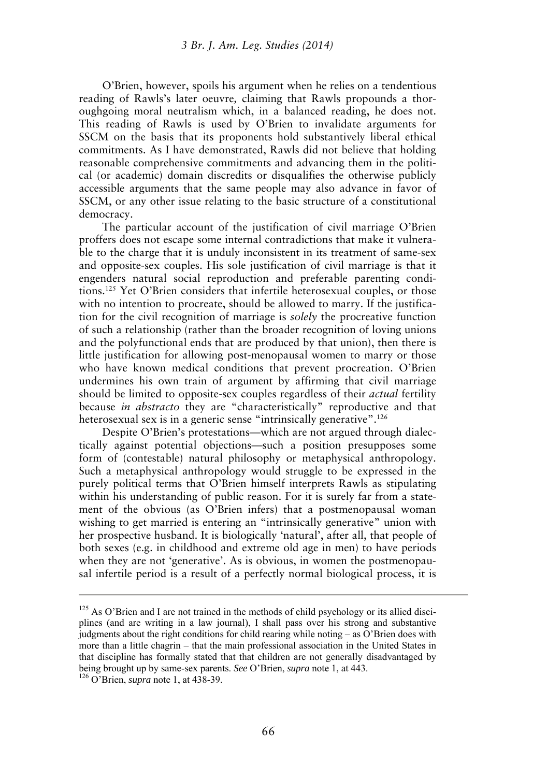O'Brien, however, spoils his argument when he relies on a tendentious reading of Rawls's later oeuvre*,* claiming that Rawls propounds a thoroughgoing moral neutralism which, in a balanced reading, he does not. This reading of Rawls is used by O'Brien to invalidate arguments for SSCM on the basis that its proponents hold substantively liberal ethical commitments. As I have demonstrated, Rawls did not believe that holding reasonable comprehensive commitments and advancing them in the political (or academic) domain discredits or disqualifies the otherwise publicly accessible arguments that the same people may also advance in favor of SSCM, or any other issue relating to the basic structure of a constitutional democracy.

The particular account of the justification of civil marriage O'Brien proffers does not escape some internal contradictions that make it vulnerable to the charge that it is unduly inconsistent in its treatment of same-sex and opposite-sex couples. His sole justification of civil marriage is that it engenders natural social reproduction and preferable parenting conditions.<sup>125</sup> Yet O'Brien considers that infertile heterosexual couples, or those with no intention to procreate, should be allowed to marry. If the justification for the civil recognition of marriage is *solely* the procreative function of such a relationship (rather than the broader recognition of loving unions and the polyfunctional ends that are produced by that union), then there is little justification for allowing post-menopausal women to marry or those who have known medical conditions that prevent procreation. O'Brien undermines his own train of argument by affirming that civil marriage should be limited to opposite-sex couples regardless of their *actual* fertility because *in abstracto* they are "characteristically" reproductive and that heterosexual sex is in a generic sense "intrinsically generative".<sup>126</sup>

Despite O'Brien's protestations—which are not argued through dialectically against potential objections—such a position presupposes some form of (contestable) natural philosophy or metaphysical anthropology. Such a metaphysical anthropology would struggle to be expressed in the purely political terms that O'Brien himself interprets Rawls as stipulating within his understanding of public reason. For it is surely far from a statement of the obvious (as O'Brien infers) that a postmenopausal woman wishing to get married is entering an "intrinsically generative" union with her prospective husband. It is biologically 'natural', after all, that people of both sexes (e.g. in childhood and extreme old age in men) to have periods when they are not 'generative'. As is obvious, in women the postmenopausal infertile period is a result of a perfectly normal biological process, it is

<sup>&</sup>lt;sup>125</sup> As O'Brien and I are not trained in the methods of child psychology or its allied disciplines (and are writing in a law journal), I shall pass over his strong and substantive judgments about the right conditions for child rearing while noting – as O'Brien does with more than a little chagrin – that the main professional association in the United States in that discipline has formally stated that that children are not generally disadvantaged by being brought up by same-sex parents. *See* O'Brien, *supra* note 1, at 443.

<sup>126</sup> O'Brien, *supra* note 1, at 438-39.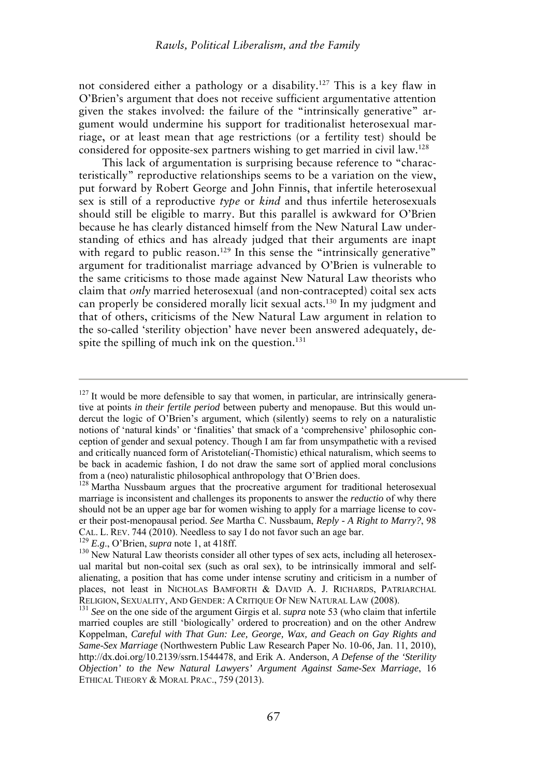not considered either a pathology or a disability.<sup>127</sup> This is a key flaw in O'Brien's argument that does not receive sufficient argumentative attention given the stakes involved: the failure of the "intrinsically generative" argument would undermine his support for traditionalist heterosexual marriage, or at least mean that age restrictions (or a fertility test) should be considered for opposite-sex partners wishing to get married in civil law.<sup>128</sup>

This lack of argumentation is surprising because reference to "characteristically" reproductive relationships seems to be a variation on the view, put forward by Robert George and John Finnis, that infertile heterosexual sex is still of a reproductive *type* or *kind* and thus infertile heterosexuals should still be eligible to marry. But this parallel is awkward for O'Brien because he has clearly distanced himself from the New Natural Law understanding of ethics and has already judged that their arguments are inapt with regard to public reason.<sup>129</sup> In this sense the "intrinsically generative" argument for traditionalist marriage advanced by O'Brien is vulnerable to the same criticisms to those made against New Natural Law theorists who claim that *only* married heterosexual (and non-contracepted) coital sex acts can properly be considered morally licit sexual acts.<sup>130</sup> In my judgment and that of others, criticisms of the New Natural Law argument in relation to the so-called 'sterility objection' have never been answered adequately, despite the spilling of much ink on the question.<sup>131</sup>

<sup>129</sup> *E.g*., O'Brien, *supra* note 1, at 418ff.

 $127$  It would be more defensible to say that women, in particular, are intrinsically generative at points *in their fertile period* between puberty and menopause. But this would undercut the logic of O'Brien's argument, which (silently) seems to rely on a naturalistic notions of 'natural kinds' or 'finalities' that smack of a 'comprehensive' philosophic conception of gender and sexual potency. Though I am far from unsympathetic with a revised and critically nuanced form of Aristotelian(-Thomistic) ethical naturalism, which seems to be back in academic fashion, I do not draw the same sort of applied moral conclusions from a (neo) naturalistic philosophical anthropology that O'Brien does.

<sup>&</sup>lt;sup>128</sup> Martha Nussbaum argues that the procreative argument for traditional heterosexual marriage is inconsistent and challenges its proponents to answer the *reductio* of why there should not be an upper age bar for women wishing to apply for a marriage license to cover their post-menopausal period. *See* Martha C. Nussbaum, *Reply - A Right to Marry?*, 98 CAL. L. REV. 744 (2010). Needless to say I do not favor such an age bar.

<sup>&</sup>lt;sup>130</sup> New Natural Law theorists consider all other types of sex acts, including all heterosexual marital but non-coital sex (such as oral sex), to be intrinsically immoral and selfalienating, a position that has come under intense scrutiny and criticism in a number of places, not least in NICHOLAS BAMFORTH & DAVID A. J. RICHARDS, PATRIARCHAL RELIGION, SEXUALITY, AND GENDER: A CRITIQUE OF NEW NATURAL LAW (2008).

<sup>131</sup> *See* on the one side of the argument Girgis et al. *supra* note 53 (who claim that infertile married couples are still 'biologically' ordered to procreation) and on the other Andrew Koppelman, *Careful with That Gun: Lee, George, Wax, and Geach on Gay Rights and Same-Sex Marriage* (Northwestern Public Law Research Paper No. 10-06, Jan. 11, 2010), http://dx.doi.org/10.2139/ssrn.1544478, and Erik A. Anderson, *A Defense of the 'Sterility Objection' to the New Natural Lawyers' Argument Against Same-Sex Marriage*, 16 ETHICAL THEORY & MORAL PRAC., 759 (2013).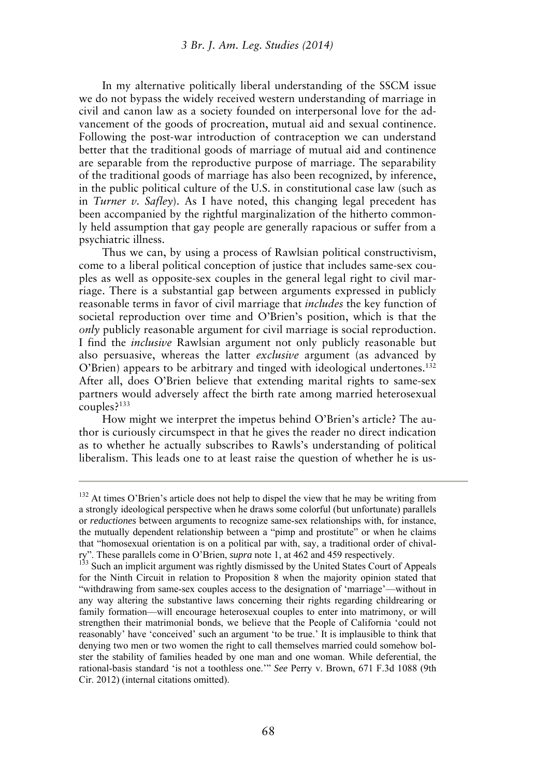In my alternative politically liberal understanding of the SSCM issue we do not bypass the widely received western understanding of marriage in civil and canon law as a society founded on interpersonal love for the advancement of the goods of procreation, mutual aid and sexual continence. Following the post-war introduction of contraception we can understand better that the traditional goods of marriage of mutual aid and continence are separable from the reproductive purpose of marriage. The separability of the traditional goods of marriage has also been recognized, by inference, in the public political culture of the U.S. in constitutional case law (such as in *Turner v. Safley*). As I have noted, this changing legal precedent has been accompanied by the rightful marginalization of the hitherto commonly held assumption that gay people are generally rapacious or suffer from a psychiatric illness.

Thus we can, by using a process of Rawlsian political constructivism, come to a liberal political conception of justice that includes same-sex couples as well as opposite-sex couples in the general legal right to civil marriage. There is a substantial gap between arguments expressed in publicly reasonable terms in favor of civil marriage that *includes* the key function of societal reproduction over time and O'Brien's position, which is that the *only* publicly reasonable argument for civil marriage is social reproduction. I find the *inclusive* Rawlsian argument not only publicly reasonable but also persuasive, whereas the latter *exclusive* argument (as advanced by O'Brien) appears to be arbitrary and tinged with ideological undertones.<sup>132</sup> After all, does O'Brien believe that extending marital rights to same-sex partners would adversely affect the birth rate among married heterosexual couples?<sup>133</sup>

How might we interpret the impetus behind O'Brien's article? The author is curiously circumspect in that he gives the reader no direct indication as to whether he actually subscribes to Rawls's understanding of political liberalism. This leads one to at least raise the question of whether he is us-

<sup>&</sup>lt;sup>132</sup> At times O'Brien's article does not help to dispel the view that he may be writing from a strongly ideological perspective when he draws some colorful (but unfortunate) parallels or *reductiones* between arguments to recognize same-sex relationships with, for instance, the mutually dependent relationship between a "pimp and prostitute" or when he claims that "homosexual orientation is on a political par with, say, a traditional order of chivalry". These parallels come in O'Brien, *supra* note 1, at 462 and 459 respectively.

<sup>&</sup>lt;sup>133</sup> Such an implicit argument was rightly dismissed by the United States Court of Appeals for the Ninth Circuit in relation to Proposition 8 when the majority opinion stated that "withdrawing from same-sex couples access to the designation of 'marriage'—without in any way altering the substantive laws concerning their rights regarding childrearing or family formation—will encourage heterosexual couples to enter into matrimony, or will strengthen their matrimonial bonds, we believe that the People of California 'could not reasonably' have 'conceived' such an argument 'to be true.' It is implausible to think that denying two men or two women the right to call themselves married could somehow bolster the stability of families headed by one man and one woman. While deferential, the rational-basis standard 'is not a toothless one.'" *See* Perry v. Brown, 671 F.3d 1088 (9th Cir. 2012) (internal citations omitted).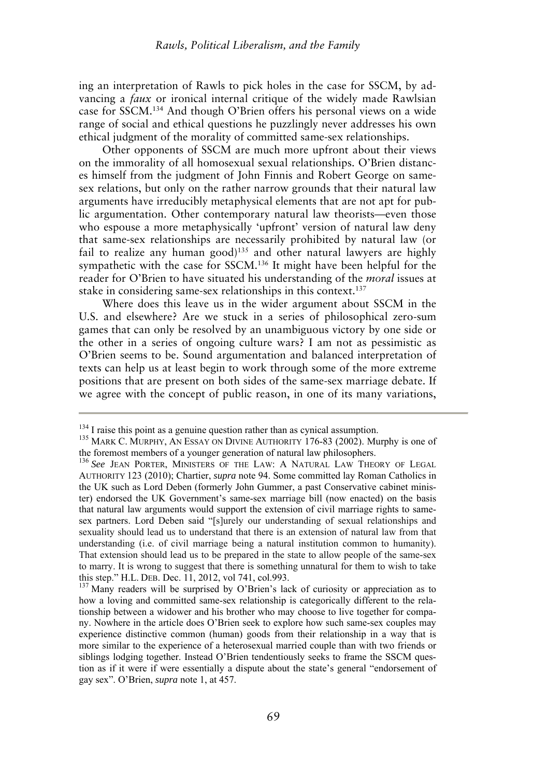ing an interpretation of Rawls to pick holes in the case for SSCM, by advancing a *faux* or ironical internal critique of the widely made Rawlsian case for SSCM.<sup>134</sup> And though O'Brien offers his personal views on a wide range of social and ethical questions he puzzlingly never addresses his own ethical judgment of the morality of committed same-sex relationships.

Other opponents of SSCM are much more upfront about their views on the immorality of all homosexual sexual relationships. O'Brien distances himself from the judgment of John Finnis and Robert George on samesex relations, but only on the rather narrow grounds that their natural law arguments have irreducibly metaphysical elements that are not apt for public argumentation. Other contemporary natural law theorists—even those who espouse a more metaphysically 'upfront' version of natural law deny that same-sex relationships are necessarily prohibited by natural law (or fail to realize any human  $\text{good}$ <sup>135</sup> and other natural lawyers are highly sympathetic with the case for SSCM.<sup>136</sup> It might have been helpful for the reader for O'Brien to have situated his understanding of the *moral* issues at stake in considering same-sex relationships in this context.<sup>137</sup>

Where does this leave us in the wider argument about SSCM in the U.S. and elsewhere? Are we stuck in a series of philosophical zero-sum games that can only be resolved by an unambiguous victory by one side or the other in a series of ongoing culture wars? I am not as pessimistic as O'Brien seems to be. Sound argumentation and balanced interpretation of texts can help us at least begin to work through some of the more extreme positions that are present on both sides of the same-sex marriage debate. If we agree with the concept of public reason, in one of its many variations,

<sup>&</sup>lt;sup>134</sup> I raise this point as a genuine question rather than as cynical assumption.

<sup>&</sup>lt;sup>135</sup> MARK C. MURPHY, AN ESSAY ON DIVINE AUTHORITY 176-83 (2002). Murphy is one of the foremost members of a younger generation of natural law philosophers.

<sup>&</sup>lt;sup>136</sup> See JEAN PORTER, MINISTERS OF THE LAW: A NATURAL LAW THEORY OF LEGAL AUTHORITY 123 (2010); Chartier, *supra* note 94. Some committed lay Roman Catholics in the UK such as Lord Deben (formerly John Gummer, a past Conservative cabinet minister) endorsed the UK Government's same-sex marriage bill (now enacted) on the basis that natural law arguments would support the extension of civil marriage rights to samesex partners. Lord Deben said "[s]urely our understanding of sexual relationships and sexuality should lead us to understand that there is an extension of natural law from that understanding (i.e. of civil marriage being a natural institution common to humanity). That extension should lead us to be prepared in the state to allow people of the same-sex to marry. It is wrong to suggest that there is something unnatural for them to wish to take this step." H.L. DEB. Dec. 11, 2012, vol 741, col.993.

 $137$  Many readers will be surprised by O'Brien's lack of curiosity or appreciation as to how a loving and committed same-sex relationship is categorically different to the relationship between a widower and his brother who may choose to live together for company. Nowhere in the article does O'Brien seek to explore how such same-sex couples may experience distinctive common (human) goods from their relationship in a way that is more similar to the experience of a heterosexual married couple than with two friends or siblings lodging together. Instead O'Brien tendentiously seeks to frame the SSCM question as if it were if were essentially a dispute about the state's general "endorsement of gay sex". O'Brien, *supra* note 1, at 457.